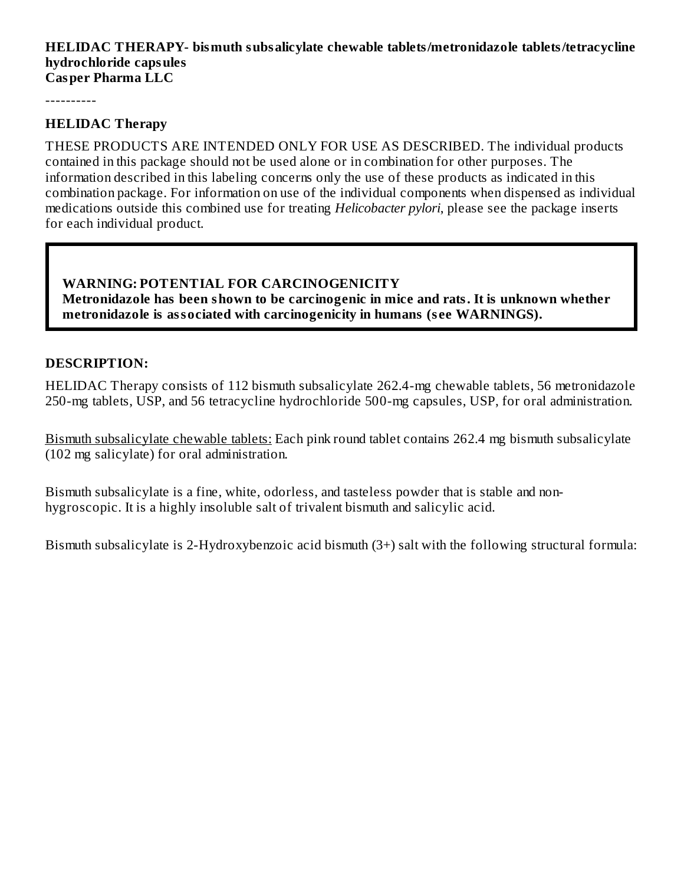#### **HELIDAC THERAPY- bismuth subsalicylate chewable tablets/metronidazole tablets/tetracycline hydrochloride capsules Casper Pharma LLC**

----------

#### **HELIDAC Therapy**

THESE PRODUCTS ARE INTENDED ONLY FOR USE AS DESCRIBED. The individual products contained in this package should not be used alone or in combination for other purposes. The information described in this labeling concerns only the use of these products as indicated in this combination package. For information on use of the individual components when dispensed as individual medications outside this combined use for treating *Helicobacter pylori*, please see the package inserts for each individual product.

#### **WARNING: POTENTIAL FOR CARCINOGENICITY Metronidazole has been shown to be carcinogenic in mice and rats. It is unknown whether metronidazole is associated with carcinogenicity in humans (s ee WARNINGS).**

#### **DESCRIPTION:**

HELIDAC Therapy consists of 112 bismuth subsalicylate 262.4-mg chewable tablets, 56 metronidazole 250-mg tablets, USP, and 56 tetracycline hydrochloride 500-mg capsules, USP, for oral administration.

Bismuth subsalicylate chewable tablets: Each pink round tablet contains 262.4 mg bismuth subsalicylate (102 mg salicylate) for oral administration.

Bismuth subsalicylate is a fine, white, odorless, and tasteless powder that is stable and nonhygroscopic. It is a highly insoluble salt of trivalent bismuth and salicylic acid.

Bismuth subsalicylate is 2-Hydroxybenzoic acid bismuth (3+) salt with the following structural formula: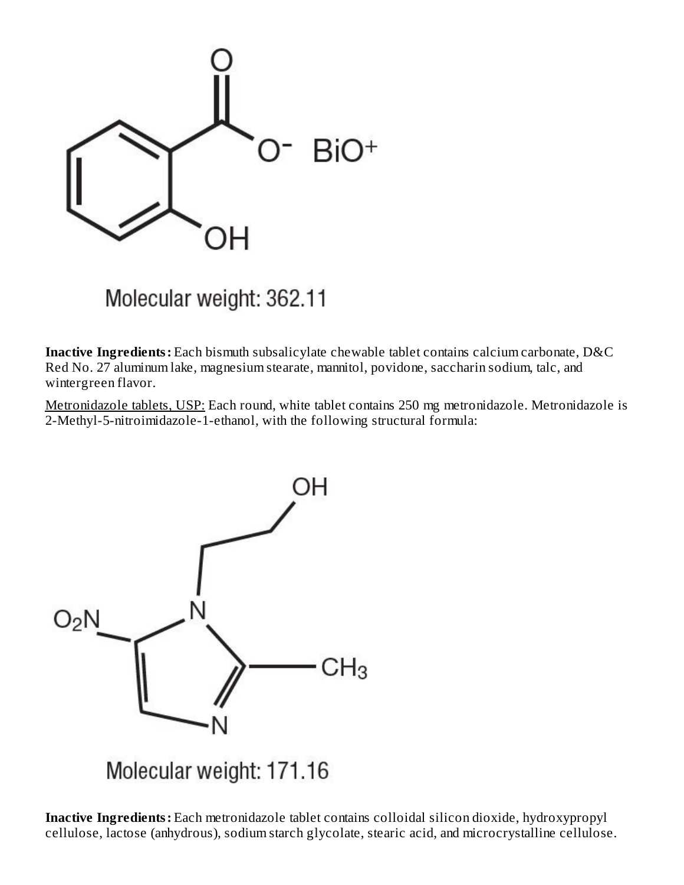

Molecular weight: 362.11

**Inactive Ingredients:** Each bismuth subsalicylate chewable tablet contains calcium carbonate, D&C Red No. 27 aluminum lake, magnesium stearate, mannitol, povidone, saccharin sodium, talc, and wintergreen flavor.

Metronidazole tablets, USP: Each round, white tablet contains 250 mg metronidazole. Metronidazole is 2-Methyl-5-nitroimidazole-1-ethanol, with the following structural formula:



Molecular weight: 171.16

**Inactive Ingredients:** Each metronidazole tablet contains colloidal silicon dioxide, hydroxypropyl cellulose, lactose (anhydrous), sodium starch glycolate, stearic acid, and microcrystalline cellulose.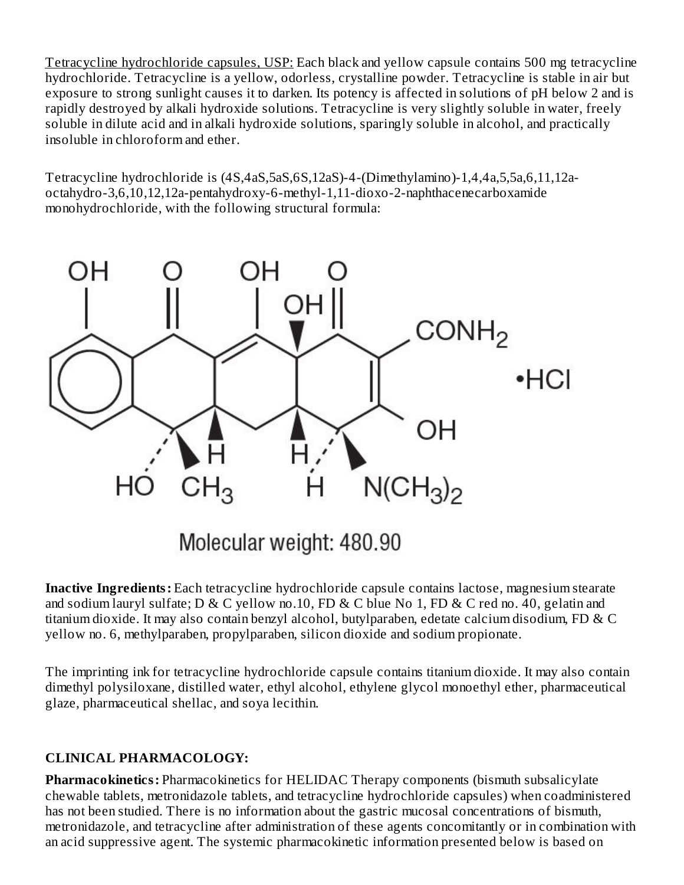Tetracycline hydrochloride capsules, USP: Each black and yellow capsule contains 500 mg tetracycline hydrochloride. Tetracycline is a yellow, odorless, crystalline powder. Tetracycline is stable in air but exposure to strong sunlight causes it to darken. Its potency is affected in solutions of pH below 2 and is rapidly destroyed by alkali hydroxide solutions. Tetracycline is very slightly soluble in water, freely soluble in dilute acid and in alkali hydroxide solutions, sparingly soluble in alcohol, and practically insoluble in chloroform and ether.

Tetracycline hydrochloride is (4S,4aS,5aS,6S,12aS)-4-(Dimethylamino)-1,4,4a,5,5a,6,11,12aoctahydro-3,6,10,12,12a-pentahydroxy-6-methyl-1,11-dioxo-2-naphthacenecarboxamide monohydrochloride, with the following structural formula:



**Inactive Ingredients:** Each tetracycline hydrochloride capsule contains lactose, magnesium stearate and sodium lauryl sulfate; D & C yellow no.10, FD & C blue No 1, FD & C red no. 40, gelatin and titanium dioxide. It may also contain benzyl alcohol, butylparaben, edetate calcium disodium, FD & C yellow no. 6, methylparaben, propylparaben, silicon dioxide and sodium propionate.

The imprinting ink for tetracycline hydrochloride capsule contains titanium dioxide. It may also contain dimethyl polysiloxane, distilled water, ethyl alcohol, ethylene glycol monoethyl ether, pharmaceutical glaze, pharmaceutical shellac, and soya lecithin.

## **CLINICAL PHARMACOLOGY:**

**Pharmacokinetics:** Pharmacokinetics for HELIDAC Therapy components (bismuth subsalicylate chewable tablets, metronidazole tablets, and tetracycline hydrochloride capsules) when coadministered has not been studied. There is no information about the gastric mucosal concentrations of bismuth, metronidazole, and tetracycline after administration of these agents concomitantly or in combination with an acid suppressive agent. The systemic pharmacokinetic information presented below is based on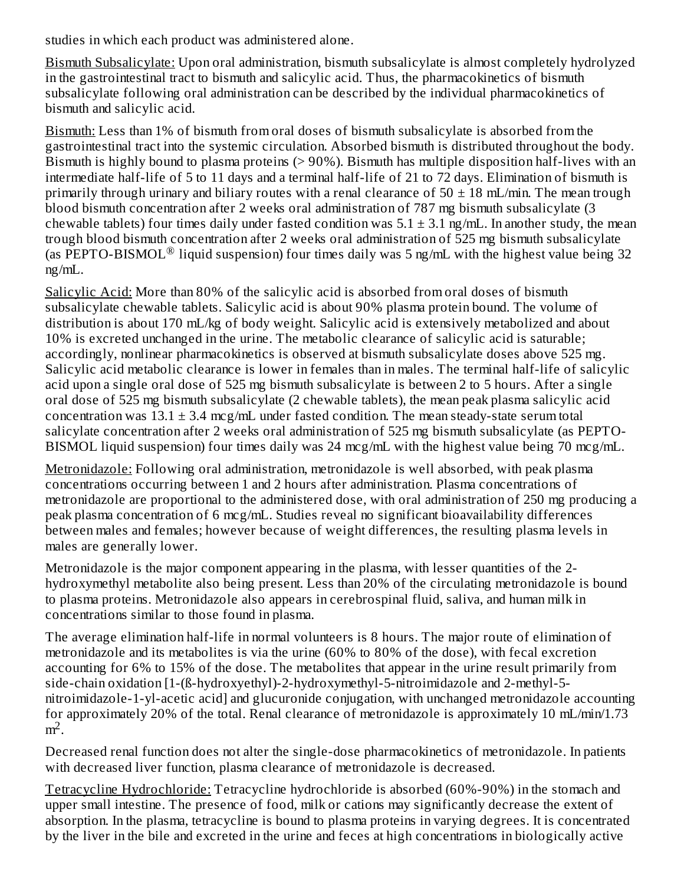studies in which each product was administered alone.

Bismuth Subsalicylate: Upon oral administration, bismuth subsalicylate is almost completely hydrolyzed in the gastrointestinal tract to bismuth and salicylic acid. Thus, the pharmacokinetics of bismuth subsalicylate following oral administration can be described by the individual pharmacokinetics of bismuth and salicylic acid.

Bismuth: Less than 1% of bismuth from oral doses of bismuth subsalicylate is absorbed from the gastrointestinal tract into the systemic circulation. Absorbed bismuth is distributed throughout the body. Bismuth is highly bound to plasma proteins (> 90%). Bismuth has multiple disposition half-lives with an intermediate half-life of 5 to 11 days and a terminal half-life of 21 to 72 days. Elimination of bismuth is primarily through urinary and biliary routes with a renal clearance of  $50 \pm 18$  mL/min. The mean trough blood bismuth concentration after 2 weeks oral administration of 787 mg bismuth subsalicylate (3 chewable tablets) four times daily under fasted condition was  $5.1 \pm 3.1$  ng/mL. In another study, the mean trough blood bismuth concentration after 2 weeks oral administration of 525 mg bismuth subsalicylate (as PEPTO-BISMOL<sup>®</sup> liquid suspension) four times daily was 5 ng/mL with the highest value being 32 ng/mL.

Salicylic Acid: More than 80% of the salicylic acid is absorbed from oral doses of bismuth subsalicylate chewable tablets. Salicylic acid is about 90% plasma protein bound. The volume of distribution is about 170 mL/kg of body weight. Salicylic acid is extensively metabolized and about 10% is excreted unchanged in the urine. The metabolic clearance of salicylic acid is saturable; accordingly, nonlinear pharmacokinetics is observed at bismuth subsalicylate doses above 525 mg. Salicylic acid metabolic clearance is lower in females than in males. The terminal half-life of salicylic acid upon a single oral dose of 525 mg bismuth subsalicylate is between 2 to 5 hours. After a single oral dose of 525 mg bismuth subsalicylate (2 chewable tablets), the mean peak plasma salicylic acid concentration was  $13.1 \pm 3.4$  mcg/mL under fasted condition. The mean steady-state serum total salicylate concentration after 2 weeks oral administration of 525 mg bismuth subsalicylate (as PEPTO-BISMOL liquid suspension) four times daily was 24 mcg/mL with the highest value being 70 mcg/mL.

Metronidazole: Following oral administration, metronidazole is well absorbed, with peak plasma concentrations occurring between 1 and 2 hours after administration. Plasma concentrations of metronidazole are proportional to the administered dose, with oral administration of 250 mg producing a peak plasma concentration of 6 mcg/mL. Studies reveal no significant bioavailability differences between males and females; however because of weight differences, the resulting plasma levels in males are generally lower.

Metronidazole is the major component appearing in the plasma, with lesser quantities of the 2 hydroxymethyl metabolite also being present. Less than 20% of the circulating metronidazole is bound to plasma proteins. Metronidazole also appears in cerebrospinal fluid, saliva, and human milk in concentrations similar to those found in plasma.

The average elimination half-life in normal volunteers is 8 hours. The major route of elimination of metronidazole and its metabolites is via the urine (60% to 80% of the dose), with fecal excretion accounting for 6% to 15% of the dose. The metabolites that appear in the urine result primarily from side-chain oxidation [1-(ß-hydroxyethyl)-2-hydroxymethyl-5-nitroimidazole and 2-methyl-5 nitroimidazole-1-yl-acetic acid] and glucuronide conjugation, with unchanged metronidazole accounting for approximately 20% of the total. Renal clearance of metronidazole is approximately 10 mL/min/1.73  $m<sup>2</sup>$ .

Decreased renal function does not alter the single-dose pharmacokinetics of metronidazole. In patients with decreased liver function, plasma clearance of metronidazole is decreased.

Tetracycline Hydrochloride: Tetracycline hydrochloride is absorbed (60%-90%) in the stomach and upper small intestine. The presence of food, milk or cations may significantly decrease the extent of absorption. In the plasma, tetracycline is bound to plasma proteins in varying degrees. It is concentrated by the liver in the bile and excreted in the urine and feces at high concentrations in biologically active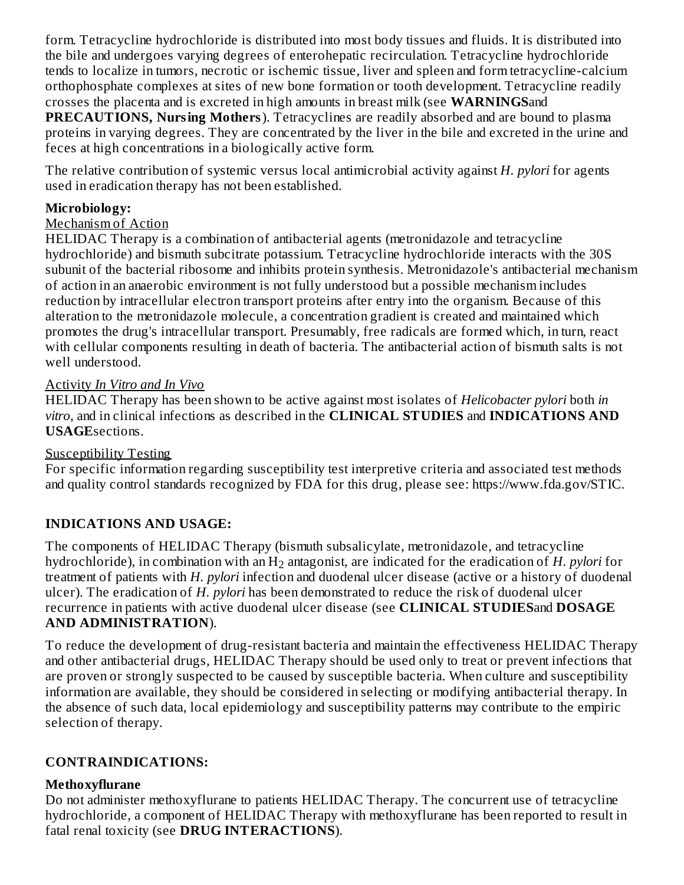form. Tetracycline hydrochloride is distributed into most body tissues and fluids. It is distributed into the bile and undergoes varying degrees of enterohepatic recirculation. Tetracycline hydrochloride tends to localize in tumors, necrotic or ischemic tissue, liver and spleen and form tetracycline-calcium orthophosphate complexes at sites of new bone formation or tooth development. Tetracycline readily crosses the placenta and is excreted in high amounts in breast milk (see **WARNINGS**and **PRECAUTIONS, Nursing Mothers**). Tetracyclines are readily absorbed and are bound to plasma proteins in varying degrees. They are concentrated by the liver in the bile and excreted in the urine and feces at high concentrations in a biologically active form.

The relative contribution of systemic versus local antimicrobial activity against *H. pylori* for agents used in eradication therapy has not been established.

#### **Microbiology:**

#### Mechanism of Action

HELIDAC Therapy is a combination of antibacterial agents (metronidazole and tetracycline hydrochloride) and bismuth subcitrate potassium. Tetracycline hydrochloride interacts with the 30S subunit of the bacterial ribosome and inhibits protein synthesis. Metronidazole's antibacterial mechanism of action in an anaerobic environment is not fully understood but a possible mechanism includes reduction by intracellular electron transport proteins after entry into the organism. Because of this alteration to the metronidazole molecule, a concentration gradient is created and maintained which promotes the drug's intracellular transport. Presumably, free radicals are formed which, in turn, react with cellular components resulting in death of bacteria. The antibacterial action of bismuth salts is not well understood.

#### Activity *In Vitro and In Vivo*

HELIDAC Therapy has been shown to be active against most isolates of *Helicobacter pylori* both *in vitro*, and in clinical infections as described in the **CLINICAL STUDIES** and **INDICATIONS AND USAGE**sections.

#### Susceptibility Testing

For specific information regarding susceptibility test interpretive criteria and associated test methods and quality control standards recognized by FDA for this drug, please see: https://www.fda.gov/STIC.

## **INDICATIONS AND USAGE:**

The components of HELIDAC Therapy (bismuth subsalicylate, metronidazole, and tetracycline hydrochloride), in combination with an  $\rm{H}_{2}$  antagonist, are indicated for the eradication of  $H$ .  $pylor$  for treatment of patients with *H. pylori* infection and duodenal ulcer disease (active or a history of duodenal ulcer). The eradication of *H. pylori* has been demonstrated to reduce the risk of duodenal ulcer recurrence in patients with active duodenal ulcer disease (see **CLINICAL STUDIES**and **DOSAGE AND ADMINISTRATION**).

To reduce the development of drug-resistant bacteria and maintain the effectiveness HELIDAC Therapy and other antibacterial drugs, HELIDAC Therapy should be used only to treat or prevent infections that are proven or strongly suspected to be caused by susceptible bacteria. When culture and susceptibility information are available, they should be considered in selecting or modifying antibacterial therapy. In the absence of such data, local epidemiology and susceptibility patterns may contribute to the empiric selection of therapy.

#### **CONTRAINDICATIONS:**

#### **Methoxyflurane**

Do not administer methoxyflurane to patients HELIDAC Therapy. The concurrent use of tetracycline hydrochloride, a component of HELIDAC Therapy with methoxyflurane has been reported to result in fatal renal toxicity (see **DRUG INTERACTIONS**).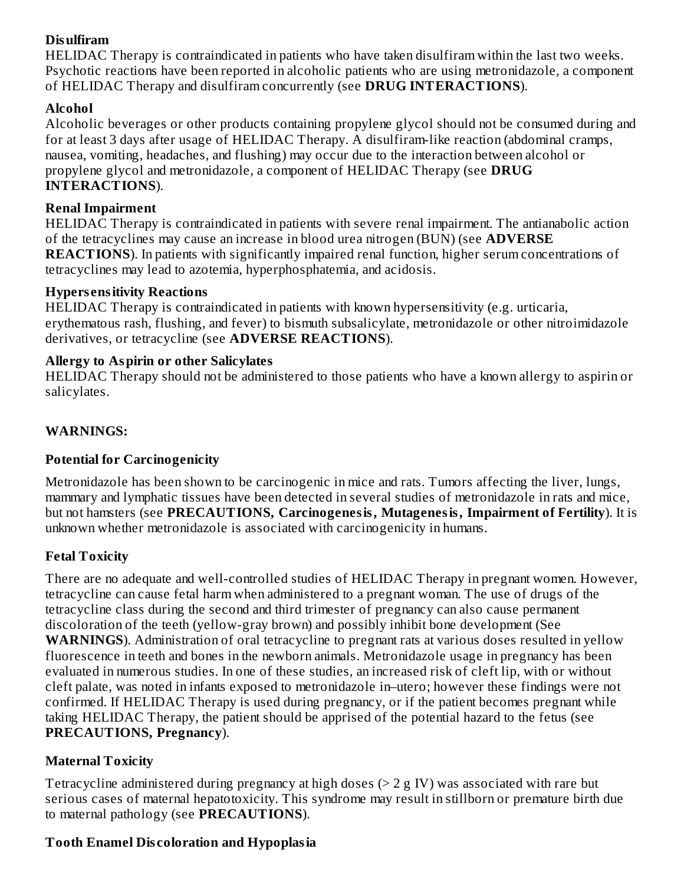# **Disulfiram**

HELIDAC Therapy is contraindicated in patients who have taken disulfiram within the last two weeks. Psychotic reactions have been reported in alcoholic patients who are using metronidazole, a component of HELIDAC Therapy and disulfiram concurrently (see **DRUG INTERACTIONS**).

# **Alcohol**

Alcoholic beverages or other products containing propylene glycol should not be consumed during and for at least 3 days after usage of HELIDAC Therapy. A disulfiram-like reaction (abdominal cramps, nausea, vomiting, headaches, and flushing) may occur due to the interaction between alcohol or propylene glycol and metronidazole, a component of HELIDAC Therapy (see **DRUG INTERACTIONS**).

### **Renal Impairment**

HELIDAC Therapy is contraindicated in patients with severe renal impairment. The antianabolic action of the tetracyclines may cause an increase in blood urea nitrogen (BUN) (see **ADVERSE REACTIONS**). In patients with significantly impaired renal function, higher serum concentrations of tetracyclines may lead to azotemia, hyperphosphatemia, and acidosis.

### **Hypers ensitivity Reactions**

HELIDAC Therapy is contraindicated in patients with known hypersensitivity (e.g. urticaria, erythematous rash, flushing, and fever) to bismuth subsalicylate, metronidazole or other nitroimidazole derivatives, or tetracycline (see **ADVERSE REACTIONS**).

### **Allergy to Aspirin or other Salicylates**

HELIDAC Therapy should not be administered to those patients who have a known allergy to aspirin or salicylates.

## **WARNINGS:**

## **Potential for Carcinogenicity**

Metronidazole has been shown to be carcinogenic in mice and rats. Tumors affecting the liver, lungs, mammary and lymphatic tissues have been detected in several studies of metronidazole in rats and mice, but not hamsters (see **PRECAUTIONS, Carcinogenesis, Mutagenesis, Impairment of Fertility**). It is unknown whether metronidazole is associated with carcinogenicity in humans.

## **Fetal Toxicity**

There are no adequate and well-controlled studies of HELIDAC Therapy in pregnant women. However, tetracycline can cause fetal harm when administered to a pregnant woman. The use of drugs of the tetracycline class during the second and third trimester of pregnancy can also cause permanent discoloration of the teeth (yellow-gray brown) and possibly inhibit bone development (See **WARNINGS**). Administration of oral tetracycline to pregnant rats at various doses resulted in yellow fluorescence in teeth and bones in the newborn animals. Metronidazole usage in pregnancy has been evaluated in numerous studies. In one of these studies, an increased risk of cleft lip, with or without cleft palate, was noted in infants exposed to metronidazole in–utero; however these findings were not confirmed. If HELIDAC Therapy is used during pregnancy, or if the patient becomes pregnant while taking HELIDAC Therapy, the patient should be apprised of the potential hazard to the fetus (see **PRECAUTIONS, Pregnancy**).

## **Maternal Toxicity**

Tetracycline administered during pregnancy at high doses (> 2 g IV) was associated with rare but serious cases of maternal hepatotoxicity. This syndrome may result in stillborn or premature birth due to maternal pathology (see **PRECAUTIONS**).

## **Tooth Enamel Dis coloration and Hypoplasia**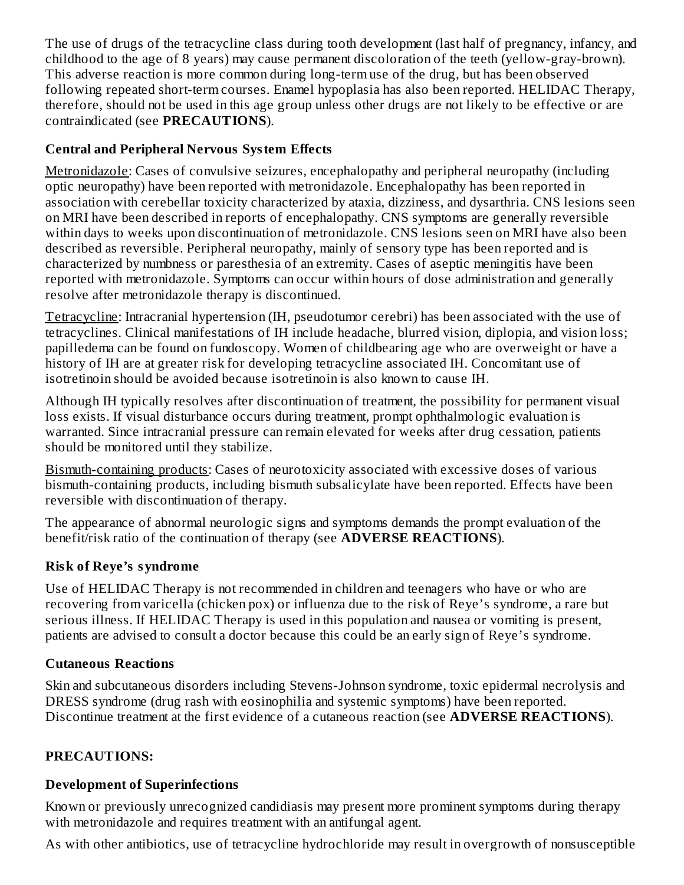The use of drugs of the tetracycline class during tooth development (last half of pregnancy, infancy, and childhood to the age of 8 years) may cause permanent discoloration of the teeth (yellow-gray-brown). This adverse reaction is more common during long-term use of the drug, but has been observed following repeated short-term courses. Enamel hypoplasia has also been reported. HELIDAC Therapy, therefore, should not be used in this age group unless other drugs are not likely to be effective or are contraindicated (see **PRECAUTIONS**).

## **Central and Peripheral Nervous System Effects**

Metronidazole: Cases of convulsive seizures, encephalopathy and peripheral neuropathy (including optic neuropathy) have been reported with metronidazole. Encephalopathy has been reported in association with cerebellar toxicity characterized by ataxia, dizziness, and dysarthria. CNS lesions seen on MRI have been described in reports of encephalopathy. CNS symptoms are generally reversible within days to weeks upon discontinuation of metronidazole. CNS lesions seen on MRI have also been described as reversible. Peripheral neuropathy, mainly of sensory type has been reported and is characterized by numbness or paresthesia of an extremity. Cases of aseptic meningitis have been reported with metronidazole. Symptoms can occur within hours of dose administration and generally resolve after metronidazole therapy is discontinued.

Tetracycline: Intracranial hypertension (IH, pseudotumor cerebri) has been associated with the use of tetracyclines. Clinical manifestations of IH include headache, blurred vision, diplopia, and vision loss; papilledema can be found on fundoscopy. Women of childbearing age who are overweight or have a history of IH are at greater risk for developing tetracycline associated IH. Concomitant use of isotretinoin should be avoided because isotretinoin is also known to cause IH.

Although IH typically resolves after discontinuation of treatment, the possibility for permanent visual loss exists. If visual disturbance occurs during treatment, prompt ophthalmologic evaluation is warranted. Since intracranial pressure can remain elevated for weeks after drug cessation, patients should be monitored until they stabilize.

Bismuth-containing products: Cases of neurotoxicity associated with excessive doses of various bismuth-containing products, including bismuth subsalicylate have been reported. Effects have been reversible with discontinuation of therapy.

The appearance of abnormal neurologic signs and symptoms demands the prompt evaluation of the benefit/risk ratio of the continuation of therapy (see **ADVERSE REACTIONS**).

#### **Risk of Reye's syndrome**

Use of HELIDAC Therapy is not recommended in children and teenagers who have or who are recovering from varicella (chicken pox) or influenza due to the risk of Reye's syndrome, a rare but serious illness. If HELIDAC Therapy is used in this population and nausea or vomiting is present, patients are advised to consult a doctor because this could be an early sign of Reye's syndrome.

## **Cutaneous Reactions**

Skin and subcutaneous disorders including Stevens-Johnson syndrome, toxic epidermal necrolysis and DRESS syndrome (drug rash with eosinophilia and systemic symptoms) have been reported. Discontinue treatment at the first evidence of a cutaneous reaction (see **ADVERSE REACTIONS**).

## **PRECAUTIONS:**

## **Development of Superinfections**

Known or previously unrecognized candidiasis may present more prominent symptoms during therapy with metronidazole and requires treatment with an antifungal agent.

As with other antibiotics, use of tetracycline hydrochloride may result in overgrowth of nonsusceptible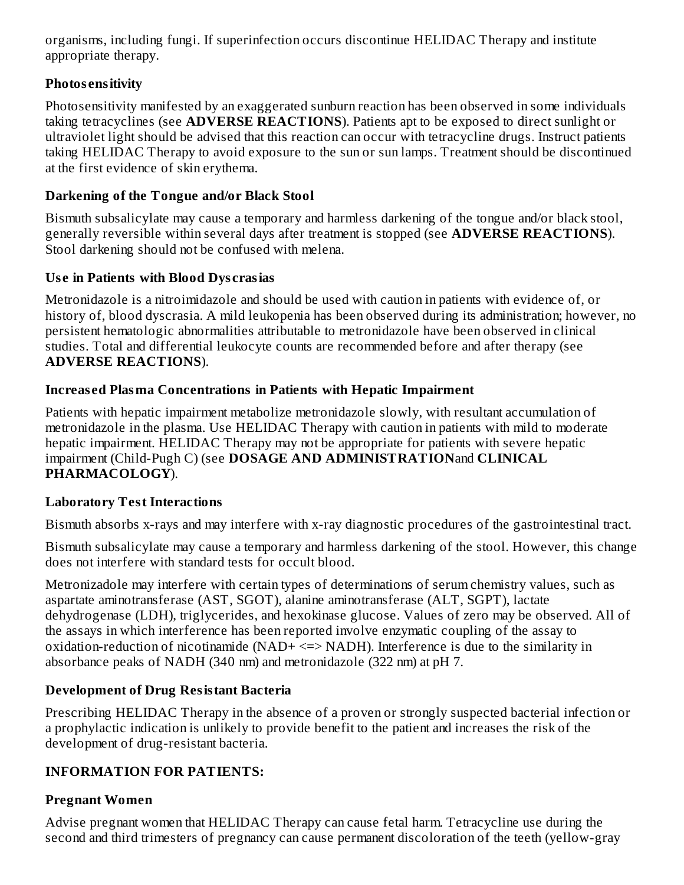organisms, including fungi. If superinfection occurs discontinue HELIDAC Therapy and institute appropriate therapy.

## **Photos ensitivity**

Photosensitivity manifested by an exaggerated sunburn reaction has been observed in some individuals taking tetracyclines (see **ADVERSE REACTIONS**). Patients apt to be exposed to direct sunlight or ultraviolet light should be advised that this reaction can occur with tetracycline drugs. Instruct patients taking HELIDAC Therapy to avoid exposure to the sun or sun lamps. Treatment should be discontinued at the first evidence of skin erythema.

### **Darkening of the Tongue and/or Black Stool**

Bismuth subsalicylate may cause a temporary and harmless darkening of the tongue and/or black stool, generally reversible within several days after treatment is stopped (see **ADVERSE REACTIONS**). Stool darkening should not be confused with melena.

### **Us e in Patients with Blood Dys crasias**

Metronidazole is a nitroimidazole and should be used with caution in patients with evidence of, or history of, blood dyscrasia. A mild leukopenia has been observed during its administration; however, no persistent hematologic abnormalities attributable to metronidazole have been observed in clinical studies. Total and differential leukocyte counts are recommended before and after therapy (see **ADVERSE REACTIONS**).

## **Increas ed Plasma Concentrations in Patients with Hepatic Impairment**

Patients with hepatic impairment metabolize metronidazole slowly, with resultant accumulation of metronidazole in the plasma. Use HELIDAC Therapy with caution in patients with mild to moderate hepatic impairment. HELIDAC Therapy may not be appropriate for patients with severe hepatic impairment (Child-Pugh C) (see **DOSAGE AND ADMINISTRATION**and **CLINICAL PHARMACOLOGY**).

## **Laboratory Test Interactions**

Bismuth absorbs x-rays and may interfere with x-ray diagnostic procedures of the gastrointestinal tract.

Bismuth subsalicylate may cause a temporary and harmless darkening of the stool. However, this change does not interfere with standard tests for occult blood.

Metronizadole may interfere with certain types of determinations of serum chemistry values, such as aspartate aminotransferase (AST, SGOT), alanine aminotransferase (ALT, SGPT), lactate dehydrogenase (LDH), triglycerides, and hexokinase glucose. Values of zero may be observed. All of the assays in which interference has been reported involve enzymatic coupling of the assay to oxidation-reduction of nicotinamide (NAD+ <=> NADH). Interference is due to the similarity in absorbance peaks of NADH (340 nm) and metronidazole (322 nm) at pH 7.

## **Development of Drug Resistant Bacteria**

Prescribing HELIDAC Therapy in the absence of a proven or strongly suspected bacterial infection or a prophylactic indication is unlikely to provide benefit to the patient and increases the risk of the development of drug-resistant bacteria.

## **INFORMATION FOR PATIENTS:**

# **Pregnant Women**

Advise pregnant women that HELIDAC Therapy can cause fetal harm. Tetracycline use during the second and third trimesters of pregnancy can cause permanent discoloration of the teeth (yellow-gray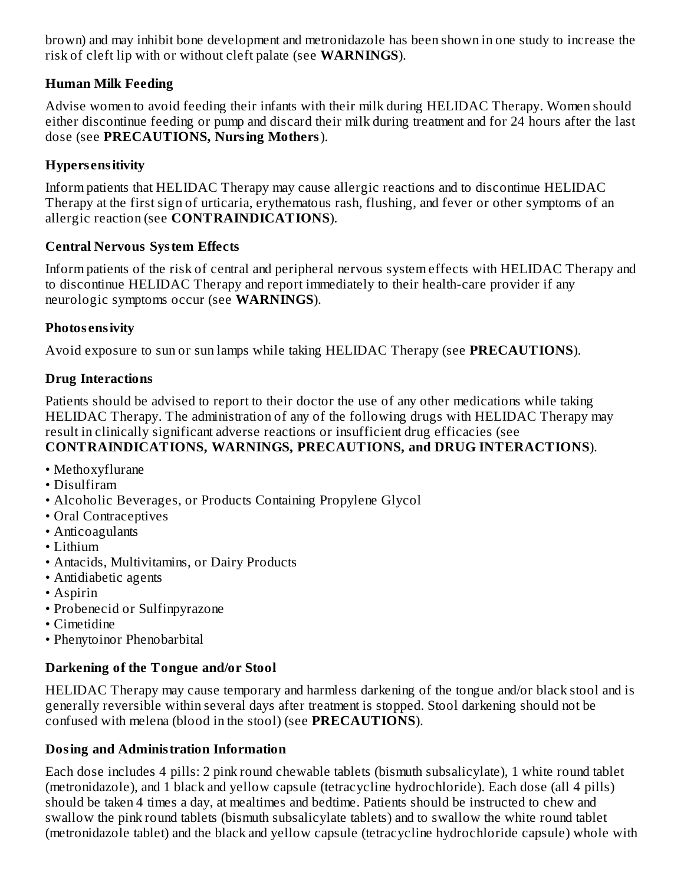brown) and may inhibit bone development and metronidazole has been shown in one study to increase the risk of cleft lip with or without cleft palate (see **WARNINGS**).

### **Human Milk Feeding**

Advise women to avoid feeding their infants with their milk during HELIDAC Therapy. Women should either discontinue feeding or pump and discard their milk during treatment and for 24 hours after the last dose (see **PRECAUTIONS, Nursing Mothers**).

### **Hypers ensitivity**

Inform patients that HELIDAC Therapy may cause allergic reactions and to discontinue HELIDAC Therapy at the first sign of urticaria, erythematous rash, flushing, and fever or other symptoms of an allergic reaction (see **CONTRAINDICATIONS**).

#### **Central Nervous System Effects**

Inform patients of the risk of central and peripheral nervous system effects with HELIDAC Therapy and to discontinue HELIDAC Therapy and report immediately to their health-care provider if any neurologic symptoms occur (see **WARNINGS**).

#### **Photos ensivity**

Avoid exposure to sun or sun lamps while taking HELIDAC Therapy (see **PRECAUTIONS**).

#### **Drug Interactions**

Patients should be advised to report to their doctor the use of any other medications while taking HELIDAC Therapy. The administration of any of the following drugs with HELIDAC Therapy may result in clinically significant adverse reactions or insufficient drug efficacies (see **CONTRAINDICATIONS, WARNINGS, PRECAUTIONS, and DRUG INTERACTIONS**).

- Methoxyflurane
- Disulfiram
- Alcoholic Beverages, or Products Containing Propylene Glycol
- Oral Contraceptives
- Anticoagulants
- Lithium
- Antacids, Multivitamins, or Dairy Products
- Antidiabetic agents
- Aspirin
- Probenecid or Sulfinpyrazone
- Cimetidine
- Phenytoinor Phenobarbital

#### **Darkening of the Tongue and/or Stool**

HELIDAC Therapy may cause temporary and harmless darkening of the tongue and/or black stool and is generally reversible within several days after treatment is stopped. Stool darkening should not be confused with melena (blood in the stool) (see **PRECAUTIONS**).

#### **Dosing and Administration Information**

Each dose includes 4 pills: 2 pink round chewable tablets (bismuth subsalicylate), 1 white round tablet (metronidazole), and 1 black and yellow capsule (tetracycline hydrochloride). Each dose (all 4 pills) should be taken 4 times a day, at mealtimes and bedtime. Patients should be instructed to chew and swallow the pink round tablets (bismuth subsalicylate tablets) and to swallow the white round tablet (metronidazole tablet) and the black and yellow capsule (tetracycline hydrochloride capsule) whole with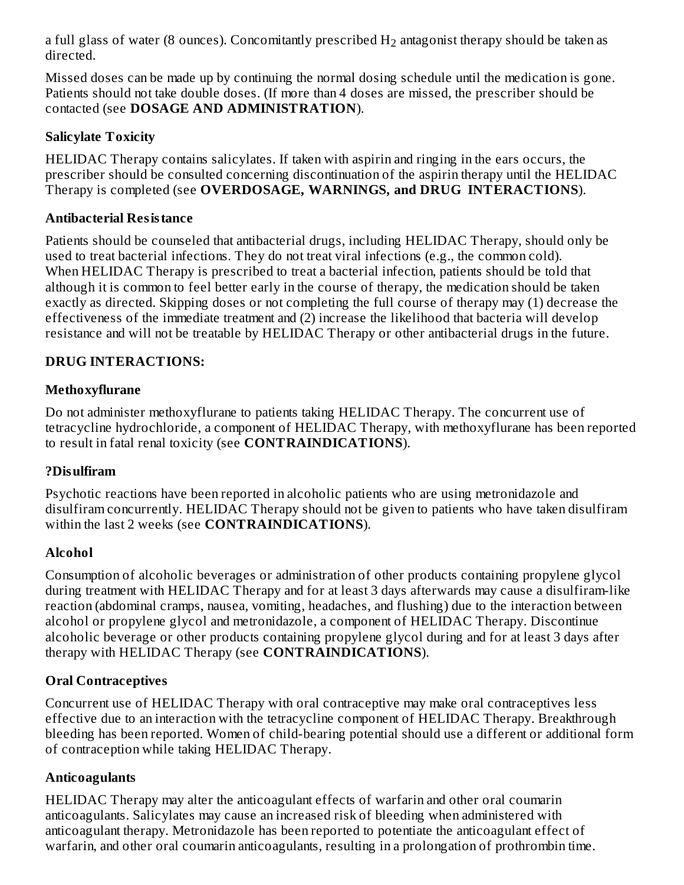a full glass of water (8 ounces). Concomitantly prescribed  $\rm{H}_{2}$  antagonist therapy should be taken as directed.

Missed doses can be made up by continuing the normal dosing schedule until the medication is gone. Patients should not take double doses. (If more than 4 doses are missed, the prescriber should be contacted (see **DOSAGE AND ADMINISTRATION**).

### **Salicylate Toxicity**

HELIDAC Therapy contains salicylates. If taken with aspirin and ringing in the ears occurs, the prescriber should be consulted concerning discontinuation of the aspirin therapy until the HELIDAC Therapy is completed (see **OVERDOSAGE, WARNINGS, and DRUG INTERACTIONS**).

### **Antibacterial Resistance**

Patients should be counseled that antibacterial drugs, including HELIDAC Therapy, should only be used to treat bacterial infections. They do not treat viral infections (e.g., the common cold). When HELIDAC Therapy is prescribed to treat a bacterial infection, patients should be told that although it is common to feel better early in the course of therapy, the medication should be taken exactly as directed. Skipping doses or not completing the full course of therapy may (1) decrease the effectiveness of the immediate treatment and (2) increase the likelihood that bacteria will develop resistance and will not be treatable by HELIDAC Therapy or other antibacterial drugs in the future.

## **DRUG INTERACTIONS:**

### **Methoxyflurane**

Do not administer methoxyflurane to patients taking HELIDAC Therapy. The concurrent use of tetracycline hydrochloride, a component of HELIDAC Therapy, with methoxyflurane has been reported to result in fatal renal toxicity (see **CONTRAINDICATIONS**).

#### **?Disulfiram**

Psychotic reactions have been reported in alcoholic patients who are using metronidazole and disulfiram concurrently. HELIDAC Therapy should not be given to patients who have taken disulfiram within the last 2 weeks (see **CONTRAINDICATIONS**).

## **Alcohol**

Consumption of alcoholic beverages or administration of other products containing propylene glycol during treatment with HELIDAC Therapy and for at least 3 days afterwards may cause a disulfiram-like reaction (abdominal cramps, nausea, vomiting, headaches, and flushing) due to the interaction between alcohol or propylene glycol and metronidazole, a component of HELIDAC Therapy. Discontinue alcoholic beverage or other products containing propylene glycol during and for at least 3 days after therapy with HELIDAC Therapy (see **CONTRAINDICATIONS**).

#### **Oral Contraceptives**

Concurrent use of HELIDAC Therapy with oral contraceptive may make oral contraceptives less effective due to an interaction with the tetracycline component of HELIDAC Therapy. Breakthrough bleeding has been reported. Women of child-bearing potential should use a different or additional form of contraception while taking HELIDAC Therapy.

#### **Anticoagulants**

HELIDAC Therapy may alter the anticoagulant effects of warfarin and other oral coumarin anticoagulants. Salicylates may cause an increased risk of bleeding when administered with anticoagulant therapy. Metronidazole has been reported to potentiate the anticoagulant effect of warfarin, and other oral coumarin anticoagulants, resulting in a prolongation of prothrombin time.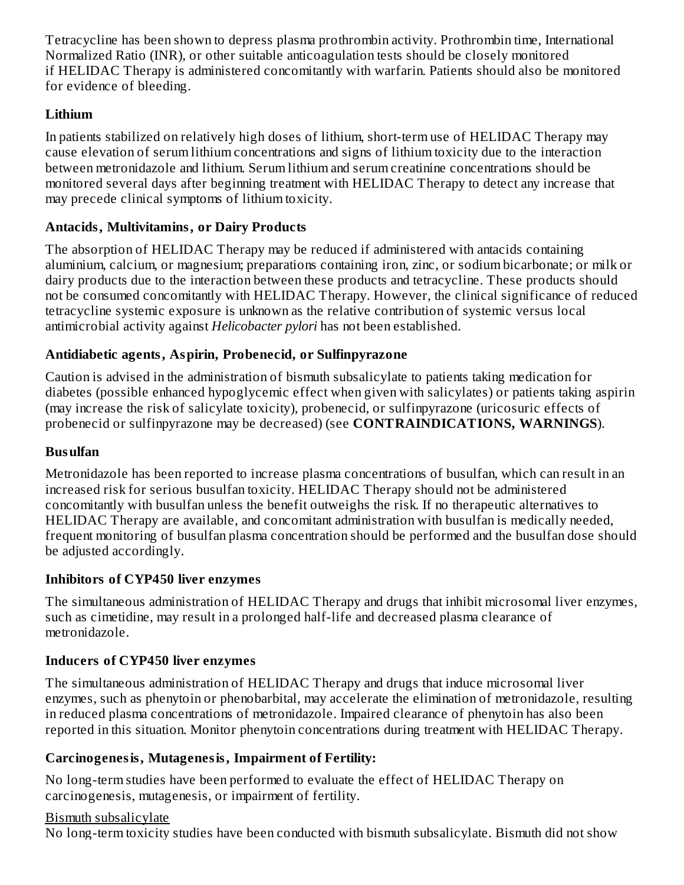Tetracycline has been shown to depress plasma prothrombin activity. Prothrombin time, International Normalized Ratio (INR), or other suitable anticoagulation tests should be closely monitored if HELIDAC Therapy is administered concomitantly with warfarin. Patients should also be monitored for evidence of bleeding.

# **Lithium**

In patients stabilized on relatively high doses of lithium, short-term use of HELIDAC Therapy may cause elevation of serum lithium concentrations and signs of lithium toxicity due to the interaction between metronidazole and lithium. Serum lithium and serum creatinine concentrations should be monitored several days after beginning treatment with HELIDAC Therapy to detect any increase that may precede clinical symptoms of lithium toxicity.

# **Antacids, Multivitamins, or Dairy Products**

The absorption of HELIDAC Therapy may be reduced if administered with antacids containing aluminium, calcium, or magnesium; preparations containing iron, zinc, or sodium bicarbonate; or milk or dairy products due to the interaction between these products and tetracycline. These products should not be consumed concomitantly with HELIDAC Therapy. However, the clinical significance of reduced tetracycline systemic exposure is unknown as the relative contribution of systemic versus local antimicrobial activity against *Helicobacter pylori* has not been established.

# **Antidiabetic agents, Aspirin, Probenecid, or Sulfinpyrazone**

Caution is advised in the administration of bismuth subsalicylate to patients taking medication for diabetes (possible enhanced hypoglycemic effect when given with salicylates) or patients taking aspirin (may increase the risk of salicylate toxicity), probenecid, or sulfinpyrazone (uricosuric effects of probenecid or sulfinpyrazone may be decreased) (see **CONTRAINDICATIONS, WARNINGS**).

## **Busulfan**

Metronidazole has been reported to increase plasma concentrations of busulfan, which can result in an increased risk for serious busulfan toxicity. HELIDAC Therapy should not be administered concomitantly with busulfan unless the benefit outweighs the risk. If no therapeutic alternatives to HELIDAC Therapy are available, and concomitant administration with busulfan is medically needed, frequent monitoring of busulfan plasma concentration should be performed and the busulfan dose should be adjusted accordingly.

## **Inhibitors of CYP450 liver enzymes**

The simultaneous administration of HELIDAC Therapy and drugs that inhibit microsomal liver enzymes, such as cimetidine, may result in a prolonged half-life and decreased plasma clearance of metronidazole.

# **Inducers of CYP450 liver enzymes**

The simultaneous administration of HELIDAC Therapy and drugs that induce microsomal liver enzymes, such as phenytoin or phenobarbital, may accelerate the elimination of metronidazole, resulting in reduced plasma concentrations of metronidazole. Impaired clearance of phenytoin has also been reported in this situation. Monitor phenytoin concentrations during treatment with HELIDAC Therapy.

# **Carcinogenesis, Mutagenesis, Impairment of Fertility:**

No long-term studies have been performed to evaluate the effect of HELIDAC Therapy on carcinogenesis, mutagenesis, or impairment of fertility.

## Bismuth subsalicylate

No long-term toxicity studies have been conducted with bismuth subsalicylate. Bismuth did not show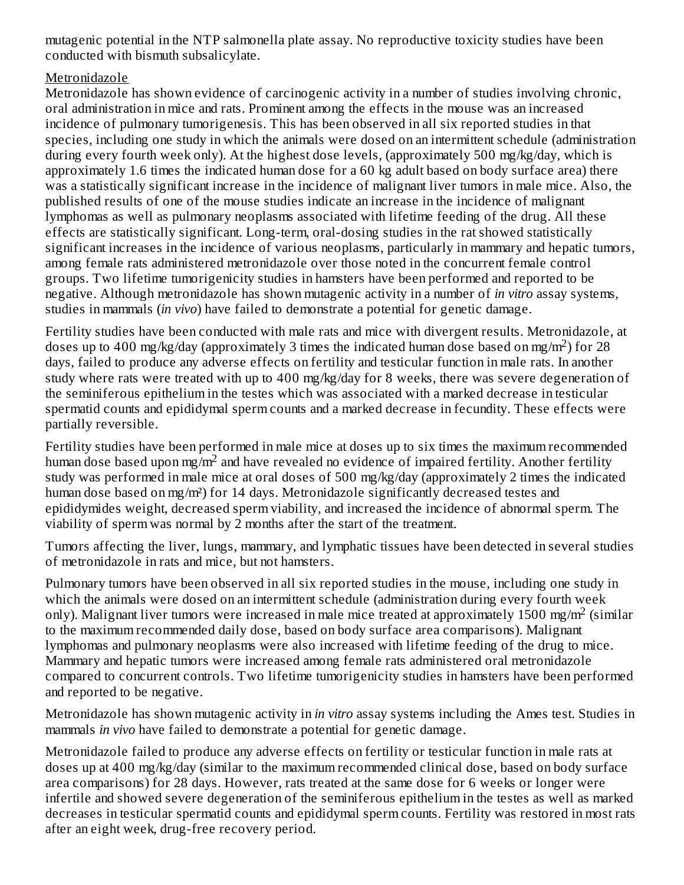mutagenic potential in the NTP salmonella plate assay. No reproductive toxicity studies have been conducted with bismuth subsalicylate.

#### Metronidazole

Metronidazole has shown evidence of carcinogenic activity in a number of studies involving chronic, oral administration in mice and rats. Prominent among the effects in the mouse was an increased incidence of pulmonary tumorigenesis. This has been observed in all six reported studies in that species, including one study in which the animals were dosed on an intermittent schedule (administration during every fourth week only). At the highest dose levels, (approximately 500 mg/kg/day, which is approximately 1.6 times the indicated human dose for a 60 kg adult based on body surface area) there was a statistically significant increase in the incidence of malignant liver tumors in male mice. Also, the published results of one of the mouse studies indicate an increase in the incidence of malignant lymphomas as well as pulmonary neoplasms associated with lifetime feeding of the drug. All these effects are statistically significant. Long-term, oral-dosing studies in the rat showed statistically significant increases in the incidence of various neoplasms, particularly in mammary and hepatic tumors, among female rats administered metronidazole over those noted in the concurrent female control groups. Two lifetime tumorigenicity studies in hamsters have been performed and reported to be negative. Although metronidazole has shown mutagenic activity in a number of *in vitro* assay systems, studies in mammals (*in vivo*) have failed to demonstrate a potential for genetic damage.

Fertility studies have been conducted with male rats and mice with divergent results. Metronidazole, at doses up to 400 mg/kg/day (approximately 3 times the indicated human dose based on mg/m<sup>2</sup>) for 28 days, failed to produce any adverse effects on fertility and testicular function in male rats. In another study where rats were treated with up to 400 mg/kg/day for 8 weeks, there was severe degeneration of the seminiferous epithelium in the testes which was associated with a marked decrease in testicular spermatid counts and epididymal sperm counts and a marked decrease in fecundity. These effects were partially reversible.

Fertility studies have been performed in male mice at doses up to six times the maximum recommended human dose based upon mg/m<sup>2</sup> and have revealed no evidence of impaired fertility. Another fertility study was performed in male mice at oral doses of 500 mg/kg/day (approximately 2 times the indicated human dose based on mg/m<sup>2</sup>) for 14 days. Metronidazole significantly decreased testes and epididymides weight, decreased sperm viability, and increased the incidence of abnormal sperm. The viability of sperm was normal by 2 months after the start of the treatment.

Tumors affecting the liver, lungs, mammary, and lymphatic tissues have been detected in several studies of metronidazole in rats and mice, but not hamsters.

Pulmonary tumors have been observed in all six reported studies in the mouse, including one study in which the animals were dosed on an intermittent schedule (administration during every fourth week only). Malignant liver tumors were increased in male mice treated at approximately 1500 mg/m<sup>2</sup> (similar to the maximum recommended daily dose, based on body surface area comparisons). Malignant lymphomas and pulmonary neoplasms were also increased with lifetime feeding of the drug to mice. Mammary and hepatic tumors were increased among female rats administered oral metronidazole compared to concurrent controls. Two lifetime tumorigenicity studies in hamsters have been performed and reported to be negative.

Metronidazole has shown mutagenic activity in *in vitro* assay systems including the Ames test. Studies in mammals *in vivo* have failed to demonstrate a potential for genetic damage.

Metronidazole failed to produce any adverse effects on fertility or testicular function in male rats at doses up at 400 mg/kg/day (similar to the maximum recommended clinical dose, based on body surface area comparisons) for 28 days. However, rats treated at the same dose for 6 weeks or longer were infertile and showed severe degeneration of the seminiferous epithelium in the testes as well as marked decreases in testicular spermatid counts and epididymal sperm counts. Fertility was restored in most rats after an eight week, drug-free recovery period.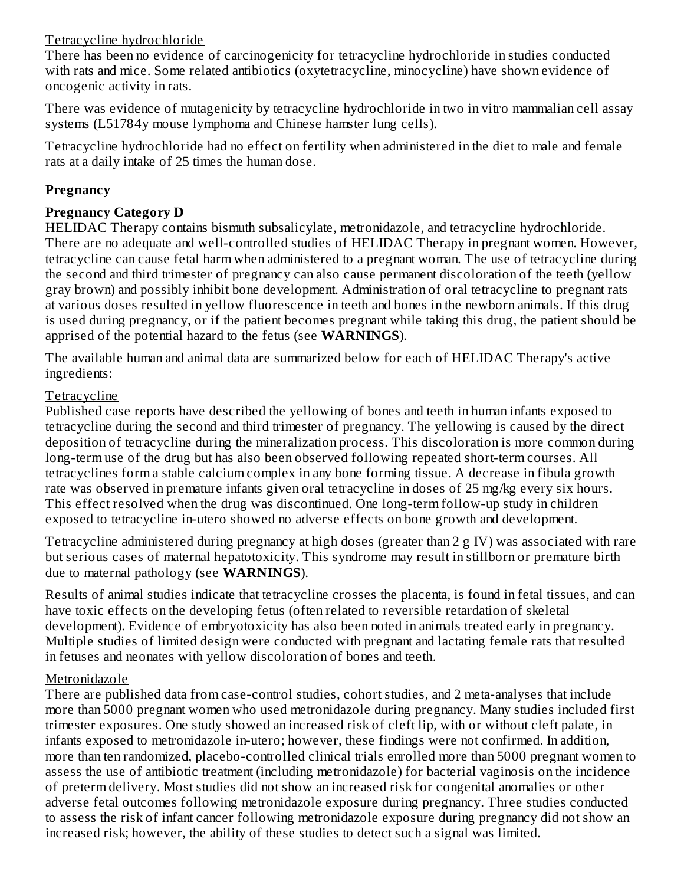#### Tetracycline hydrochloride

There has been no evidence of carcinogenicity for tetracycline hydrochloride in studies conducted with rats and mice. Some related antibiotics (oxytetracycline, minocycline) have shown evidence of oncogenic activity in rats.

There was evidence of mutagenicity by tetracycline hydrochloride in two in vitro mammalian cell assay systems (L51784y mouse lymphoma and Chinese hamster lung cells).

Tetracycline hydrochloride had no effect on fertility when administered in the diet to male and female rats at a daily intake of 25 times the human dose.

#### **Pregnancy**

### **Pregnancy Category D**

HELIDAC Therapy contains bismuth subsalicylate, metronidazole, and tetracycline hydrochloride. There are no adequate and well-controlled studies of HELIDAC Therapy in pregnant women. However, tetracycline can cause fetal harm when administered to a pregnant woman. The use of tetracycline during the second and third trimester of pregnancy can also cause permanent discoloration of the teeth (yellow gray brown) and possibly inhibit bone development. Administration of oral tetracycline to pregnant rats at various doses resulted in yellow fluorescence in teeth and bones in the newborn animals. If this drug is used during pregnancy, or if the patient becomes pregnant while taking this drug, the patient should be apprised of the potential hazard to the fetus (see **WARNINGS**).

The available human and animal data are summarized below for each of HELIDAC Therapy's active ingredients:

### **Tetracycline**

Published case reports have described the yellowing of bones and teeth in human infants exposed to tetracycline during the second and third trimester of pregnancy. The yellowing is caused by the direct deposition of tetracycline during the mineralization process. This discoloration is more common during long-term use of the drug but has also been observed following repeated short-term courses. All tetracyclines form a stable calcium complex in any bone forming tissue. A decrease in fibula growth rate was observed in premature infants given oral tetracycline in doses of 25 mg/kg every six hours. This effect resolved when the drug was discontinued. One long-term follow-up study in children exposed to tetracycline in-utero showed no adverse effects on bone growth and development.

Tetracycline administered during pregnancy at high doses (greater than 2 g IV) was associated with rare but serious cases of maternal hepatotoxicity. This syndrome may result in stillborn or premature birth due to maternal pathology (see **WARNINGS**).

Results of animal studies indicate that tetracycline crosses the placenta, is found in fetal tissues, and can have toxic effects on the developing fetus (often related to reversible retardation of skeletal development). Evidence of embryotoxicity has also been noted in animals treated early in pregnancy. Multiple studies of limited design were conducted with pregnant and lactating female rats that resulted in fetuses and neonates with yellow discoloration of bones and teeth.

#### Metronidazole

There are published data from case-control studies, cohort studies, and 2 meta-analyses that include more than 5000 pregnant women who used metronidazole during pregnancy. Many studies included first trimester exposures. One study showed an increased risk of cleft lip, with or without cleft palate, in infants exposed to metronidazole in-utero; however, these findings were not confirmed. In addition, more than ten randomized, placebo-controlled clinical trials enrolled more than 5000 pregnant women to assess the use of antibiotic treatment (including metronidazole) for bacterial vaginosis on the incidence of preterm delivery. Most studies did not show an increased risk for congenital anomalies or other adverse fetal outcomes following metronidazole exposure during pregnancy. Three studies conducted to assess the risk of infant cancer following metronidazole exposure during pregnancy did not show an increased risk; however, the ability of these studies to detect such a signal was limited.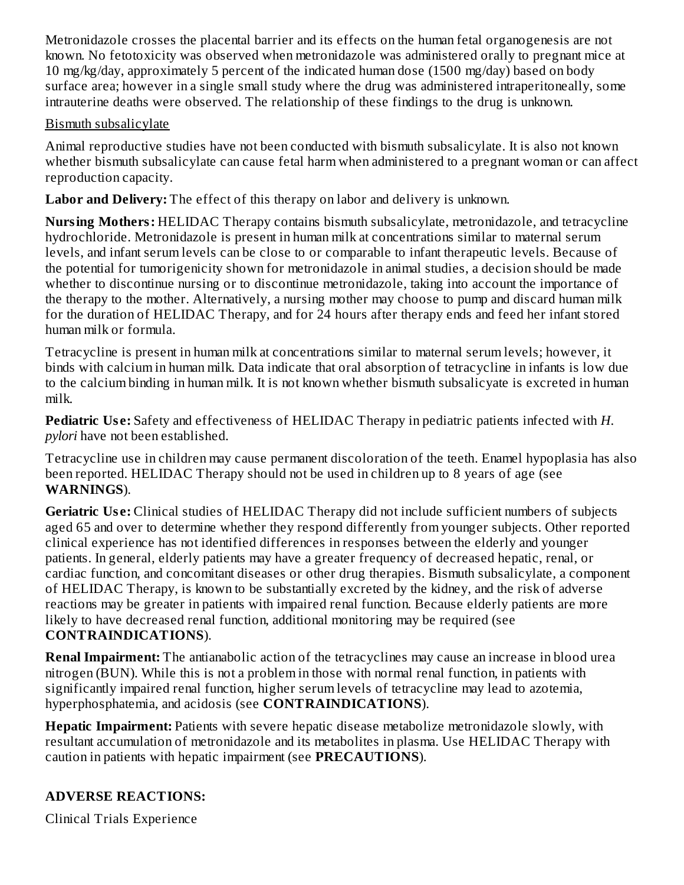Metronidazole crosses the placental barrier and its effects on the human fetal organogenesis are not known. No fetotoxicity was observed when metronidazole was administered orally to pregnant mice at 10 mg/kg/day, approximately 5 percent of the indicated human dose (1500 mg/day) based on body surface area; however in a single small study where the drug was administered intraperitoneally, some intrauterine deaths were observed. The relationship of these findings to the drug is unknown.

#### Bismuth subsalicylate

Animal reproductive studies have not been conducted with bismuth subsalicylate. It is also not known whether bismuth subsalicylate can cause fetal harm when administered to a pregnant woman or can affect reproduction capacity.

**Labor and Delivery:** The effect of this therapy on labor and delivery is unknown.

**Nursing Mothers:** HELIDAC Therapy contains bismuth subsalicylate, metronidazole, and tetracycline hydrochloride. Metronidazole is present in human milk at concentrations similar to maternal serum levels, and infant serum levels can be close to or comparable to infant therapeutic levels. Because of the potential for tumorigenicity shown for metronidazole in animal studies, a decision should be made whether to discontinue nursing or to discontinue metronidazole, taking into account the importance of the therapy to the mother. Alternatively, a nursing mother may choose to pump and discard human milk for the duration of HELIDAC Therapy, and for 24 hours after therapy ends and feed her infant stored human milk or formula.

Tetracycline is present in human milk at concentrations similar to maternal serum levels; however, it binds with calcium in human milk. Data indicate that oral absorption of tetracycline in infants is low due to the calcium binding in human milk. It is not known whether bismuth subsalicyate is excreted in human milk.

**Pediatric Us e:** Safety and effectiveness of HELIDAC Therapy in pediatric patients infected with *H. pylori* have not been established.

Tetracycline use in children may cause permanent discoloration of the teeth. Enamel hypoplasia has also been reported. HELIDAC Therapy should not be used in children up to 8 years of age (see **WARNINGS**).

**Geriatric Us e:** Clinical studies of HELIDAC Therapy did not include sufficient numbers of subjects aged 65 and over to determine whether they respond differently from younger subjects. Other reported clinical experience has not identified differences in responses between the elderly and younger patients. In general, elderly patients may have a greater frequency of decreased hepatic, renal, or cardiac function, and concomitant diseases or other drug therapies. Bismuth subsalicylate, a component of HELIDAC Therapy, is known to be substantially excreted by the kidney, and the risk of adverse reactions may be greater in patients with impaired renal function. Because elderly patients are more likely to have decreased renal function, additional monitoring may be required (see **CONTRAINDICATIONS**).

**Renal Impairment:** The antianabolic action of the tetracyclines may cause an increase in blood urea nitrogen (BUN). While this is not a problem in those with normal renal function, in patients with significantly impaired renal function, higher serum levels of tetracycline may lead to azotemia, hyperphosphatemia, and acidosis (see **CONTRAINDICATIONS**).

**Hepatic Impairment:** Patients with severe hepatic disease metabolize metronidazole slowly, with resultant accumulation of metronidazole and its metabolites in plasma. Use HELIDAC Therapy with caution in patients with hepatic impairment (see **PRECAUTIONS**).

# **ADVERSE REACTIONS:**

Clinical Trials Experience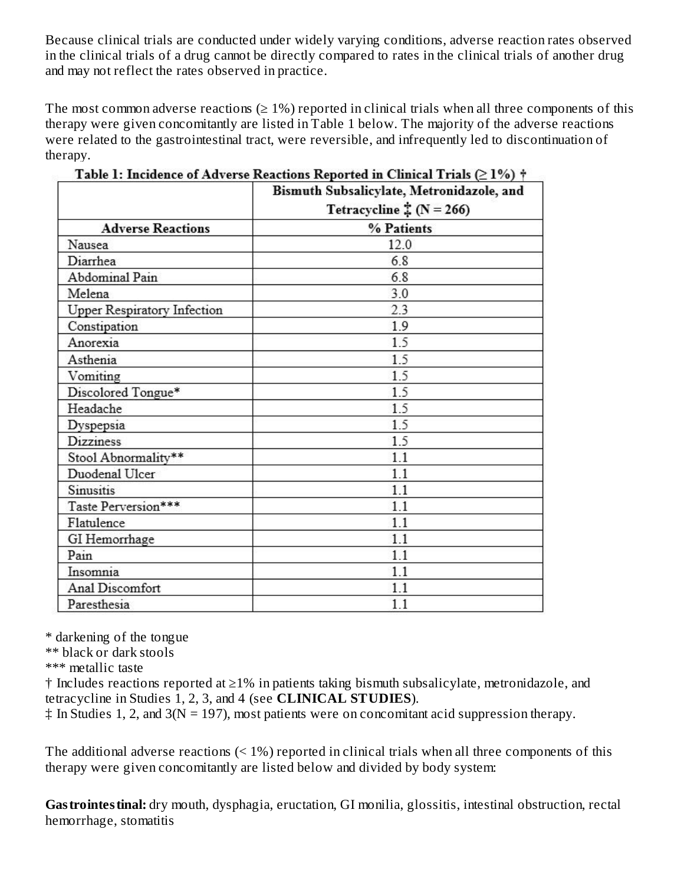Because clinical trials are conducted under widely varying conditions, adverse reaction rates observed in the clinical trials of a drug cannot be directly compared to rates in the clinical trials of another drug and may not reflect the rates observed in practice.

The most common adverse reactions  $(≥ 1%)$  reported in clinical trials when all three components of this therapy were given concomitantly are listed in Table 1 below. The majority of the adverse reactions were related to the gastrointestinal tract, were reversible, and infrequently led to discontinuation of therapy.

|                                    | Bismuth Subsalicylate, Metronidazole, and |
|------------------------------------|-------------------------------------------|
|                                    | Tetracycline $\ddagger (N = 266)$         |
| <b>Adverse Reactions</b>           | % Patients                                |
| Nausea                             | 12.0                                      |
| Diarrhea                           | 6.8                                       |
| Abdominal Pain                     | 6.8                                       |
| Melena                             | 3.0                                       |
| <b>Upper Respiratory Infection</b> | 2.3                                       |
| Constipation                       | 1.9                                       |
| Anorexia                           | 1.5                                       |
| Asthenia                           | 1.5                                       |
| Vomiting                           | 1.5                                       |
| Discolored Tongue*                 | 1.5                                       |
| Headache                           | 1.5                                       |
| Dyspepsia                          | 1.5                                       |
| Dizziness                          | 1.5                                       |
| Stool Abnormality**                | 1.1                                       |
| Duodenal Ulcer                     | 1.1                                       |
| Sinusitis                          | 1.1                                       |
| Taste Perversion***                | 1.1                                       |
| Flatulence                         | 1.1                                       |
| GI Hemorrhage                      | 1.1                                       |
| Pain                               | 1.1                                       |
| Insomnia                           | 1.1                                       |
| Anal Discomfort                    | 1.1                                       |
| Paresthesia                        | 1.1                                       |

Table 1: Incidence of Adverse Reactions Reported in Clinical Trials  $( \geq 1\%)$   $\dagger$ 

\* darkening of the tongue

\*\* black or dark stools

\*\*\* metallic taste

† Includes reactions reported at ≥1% in patients taking bismuth subsalicylate, metronidazole, and tetracycline in Studies 1, 2, 3, and 4 (see **CLINICAL STUDIES**).

 $\ddagger$  In Studies 1, 2, and 3(N = 197), most patients were on concomitant acid suppression therapy.

The additional adverse reactions  $(1\%)$  reported in clinical trials when all three components of this therapy were given concomitantly are listed below and divided by body system:

**Gastrointestinal:** dry mouth, dysphagia, eructation, GI monilia, glossitis, intestinal obstruction, rectal hemorrhage, stomatitis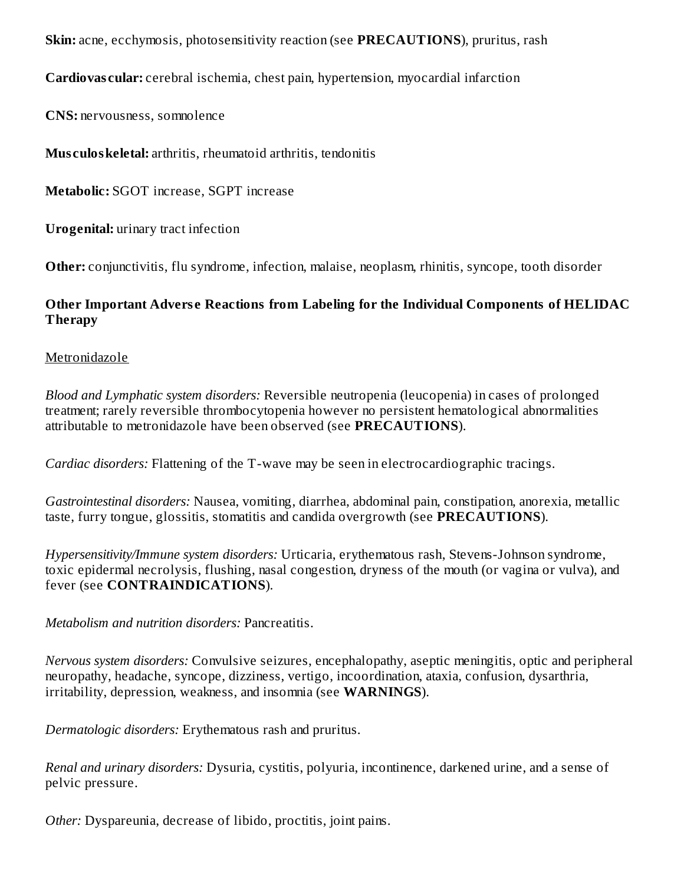**Skin:** acne, ecchymosis, photosensitivity reaction (see **PRECAUTIONS**), pruritus, rash

**Cardiovas cular:** cerebral ischemia, chest pain, hypertension, myocardial infarction

**CNS:** nervousness, somnolence

**Mus culoskeletal:** arthritis, rheumatoid arthritis, tendonitis

**Metabolic:** SGOT increase, SGPT increase

**Urogenital:** urinary tract infection

**Other:** conjunctivitis, flu syndrome, infection, malaise, neoplasm, rhinitis, syncope, tooth disorder

#### **Other Important Advers e Reactions from Labeling for the Individual Components of HELIDAC Therapy**

#### Metronidazole

*Blood and Lymphatic system disorders:* Reversible neutropenia (leucopenia) in cases of prolonged treatment; rarely reversible thrombocytopenia however no persistent hematological abnormalities attributable to metronidazole have been observed (see **PRECAUTIONS**).

*Cardiac disorders:* Flattening of the T-wave may be seen in electrocardiographic tracings.

*Gastrointestinal disorders:* Nausea, vomiting, diarrhea, abdominal pain, constipation, anorexia, metallic taste, furry tongue, glossitis, stomatitis and candida overgrowth (see **PRECAUTIONS**).

*Hypersensitivity/Immune system disorders:* Urticaria, erythematous rash, Stevens-Johnson syndrome, toxic epidermal necrolysis, flushing, nasal congestion, dryness of the mouth (or vagina or vulva), and fever (see **CONTRAINDICATIONS**).

*Metabolism and nutrition disorders:* Pancreatitis.

*Nervous system disorders:* Convulsive seizures, encephalopathy, aseptic meningitis, optic and peripheral neuropathy, headache, syncope, dizziness, vertigo, incoordination, ataxia, confusion, dysarthria, irritability, depression, weakness, and insomnia (see **WARNINGS**).

*Dermatologic disorders:* Erythematous rash and pruritus.

*Renal and urinary disorders:* Dysuria, cystitis, polyuria, incontinence, darkened urine, and a sense of pelvic pressure.

*Other:* Dyspareunia, decrease of libido, proctitis, joint pains.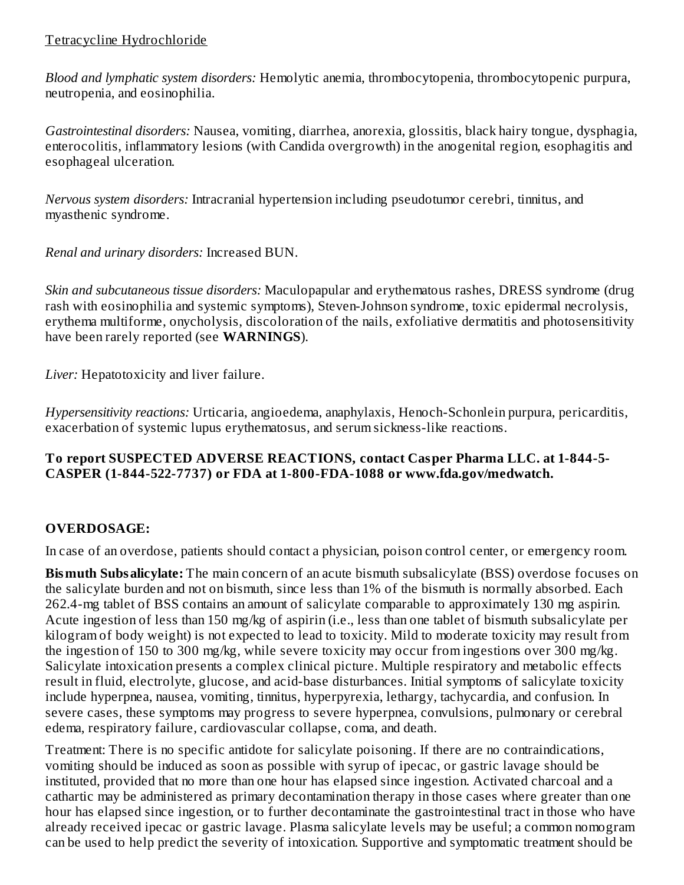### Tetracycline Hydrochloride

*Blood and lymphatic system disorders:* Hemolytic anemia, thrombocytopenia, thrombocytopenic purpura, neutropenia, and eosinophilia.

*Gastrointestinal disorders:* Nausea, vomiting, diarrhea, anorexia, glossitis, black hairy tongue, dysphagia, enterocolitis, inflammatory lesions (with Candida overgrowth) in the anogenital region, esophagitis and esophageal ulceration.

*Nervous system disorders:* Intracranial hypertension including pseudotumor cerebri, tinnitus, and myasthenic syndrome.

*Renal and urinary disorders:* Increased BUN.

*Skin and subcutaneous tissue disorders:* Maculopapular and erythematous rashes, DRESS syndrome (drug rash with eosinophilia and systemic symptoms), Steven-Johnson syndrome, toxic epidermal necrolysis, erythema multiforme, onycholysis, discoloration of the nails, exfoliative dermatitis and photosensitivity have been rarely reported (see **WARNINGS**).

*Liver:* Hepatotoxicity and liver failure.

*Hypersensitivity reactions:* Urticaria, angioedema, anaphylaxis, Henoch-Schonlein purpura, pericarditis, exacerbation of systemic lupus erythematosus, and serum sickness-like reactions.

#### **To report SUSPECTED ADVERSE REACTIONS, contact Casper Pharma LLC. at 1-844-5- CASPER (1-844-522-7737) or FDA at 1-800-FDA-1088 or www.fda.gov/medwatch.**

# **OVERDOSAGE:**

In case of an overdose, patients should contact a physician, poison control center, or emergency room.

**Bismuth Subsalicylate:** The main concern of an acute bismuth subsalicylate (BSS) overdose focuses on the salicylate burden and not on bismuth, since less than 1% of the bismuth is normally absorbed. Each 262.4-mg tablet of BSS contains an amount of salicylate comparable to approximately 130 mg aspirin. Acute ingestion of less than 150 mg/kg of aspirin (i.e., less than one tablet of bismuth subsalicylate per kilogram of body weight) is not expected to lead to toxicity. Mild to moderate toxicity may result from the ingestion of 150 to 300 mg/kg, while severe toxicity may occur from ingestions over 300 mg/kg. Salicylate intoxication presents a complex clinical picture. Multiple respiratory and metabolic effects result in fluid, electrolyte, glucose, and acid-base disturbances. Initial symptoms of salicylate toxicity include hyperpnea, nausea, vomiting, tinnitus, hyperpyrexia, lethargy, tachycardia, and confusion. In severe cases, these symptoms may progress to severe hyperpnea, convulsions, pulmonary or cerebral edema, respiratory failure, cardiovascular collapse, coma, and death.

Treatment: There is no specific antidote for salicylate poisoning. If there are no contraindications, vomiting should be induced as soon as possible with syrup of ipecac, or gastric lavage should be instituted, provided that no more than one hour has elapsed since ingestion. Activated charcoal and a cathartic may be administered as primary decontamination therapy in those cases where greater than one hour has elapsed since ingestion, or to further decontaminate the gastrointestinal tract in those who have already received ipecac or gastric lavage. Plasma salicylate levels may be useful; a common nomogram can be used to help predict the severity of intoxication. Supportive and symptomatic treatment should be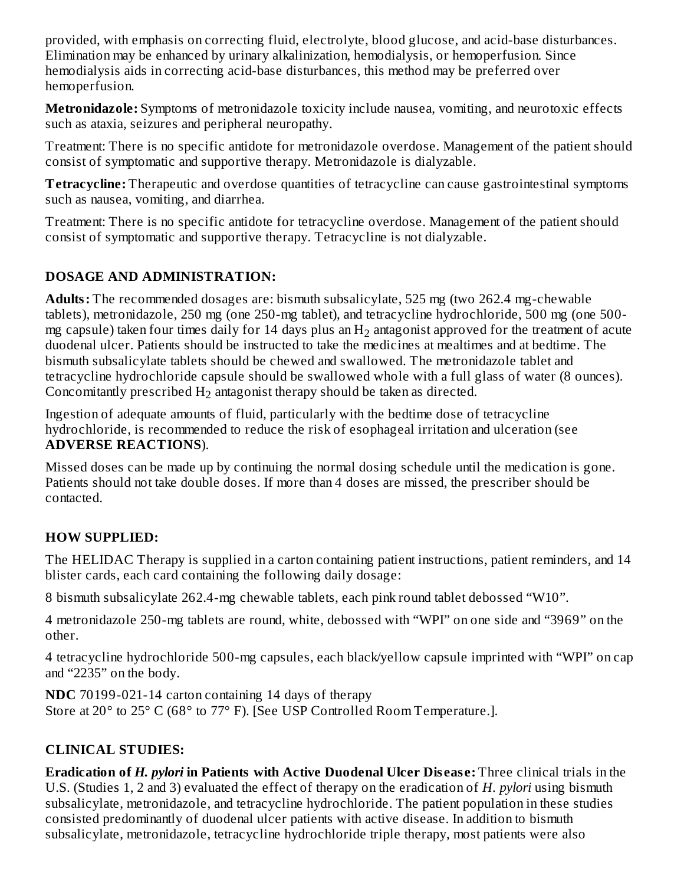provided, with emphasis on correcting fluid, electrolyte, blood glucose, and acid-base disturbances. Elimination may be enhanced by urinary alkalinization, hemodialysis, or hemoperfusion. Since hemodialysis aids in correcting acid-base disturbances, this method may be preferred over hemoperfusion.

**Metronidazole:** Symptoms of metronidazole toxicity include nausea, vomiting, and neurotoxic effects such as ataxia, seizures and peripheral neuropathy.

Treatment: There is no specific antidote for metronidazole overdose. Management of the patient should consist of symptomatic and supportive therapy. Metronidazole is dialyzable.

**Tetracycline:** Therapeutic and overdose quantities of tetracycline can cause gastrointestinal symptoms such as nausea, vomiting, and diarrhea.

Treatment: There is no specific antidote for tetracycline overdose. Management of the patient should consist of symptomatic and supportive therapy. Tetracycline is not dialyzable.

## **DOSAGE AND ADMINISTRATION:**

**Adults:** The recommended dosages are: bismuth subsalicylate, 525 mg (two 262.4 mg-chewable tablets), metronidazole, 250 mg (one 250-mg tablet), and tetracycline hydrochloride, 500 mg (one 500 mg capsule) taken four times daily for 14 days plus an  $\rm{H}_{2}$  antagonist approved for the treatment of acute duodenal ulcer. Patients should be instructed to take the medicines at mealtimes and at bedtime. The bismuth subsalicylate tablets should be chewed and swallowed. The metronidazole tablet and tetracycline hydrochloride capsule should be swallowed whole with a full glass of water (8 ounces). Concomitantly prescribed  $H_2$  antagonist therapy should be taken as directed.

Ingestion of adequate amounts of fluid, particularly with the bedtime dose of tetracycline hydrochloride, is recommended to reduce the risk of esophageal irritation and ulceration (see **ADVERSE REACTIONS**).

Missed doses can be made up by continuing the normal dosing schedule until the medication is gone. Patients should not take double doses. If more than 4 doses are missed, the prescriber should be contacted.

## **HOW SUPPLIED:**

The HELIDAC Therapy is supplied in a carton containing patient instructions, patient reminders, and 14 blister cards, each card containing the following daily dosage:

8 bismuth subsalicylate 262.4-mg chewable tablets, each pink round tablet debossed "W10".

4 metronidazole 250-mg tablets are round, white, debossed with "WPI" on one side and "3969" on the other.

4 tetracycline hydrochloride 500-mg capsules, each black/yellow capsule imprinted with "WPI" on cap and "2235" on the body.

**NDC** 70199-021-14 carton containing 14 days of therapy Store at 20° to 25° C (68° to 77° F). [See USP Controlled Room Temperature.].

# **CLINICAL STUDIES:**

**Eradication of** *H. pylori* **in Patients with Active Duodenal Ulcer Dis eas e:** Three clinical trials in the U.S. (Studies 1, 2 and 3) evaluated the effect of therapy on the eradication of *H. pylori* using bismuth subsalicylate, metronidazole, and tetracycline hydrochloride. The patient population in these studies consisted predominantly of duodenal ulcer patients with active disease. In addition to bismuth subsalicylate, metronidazole, tetracycline hydrochloride triple therapy, most patients were also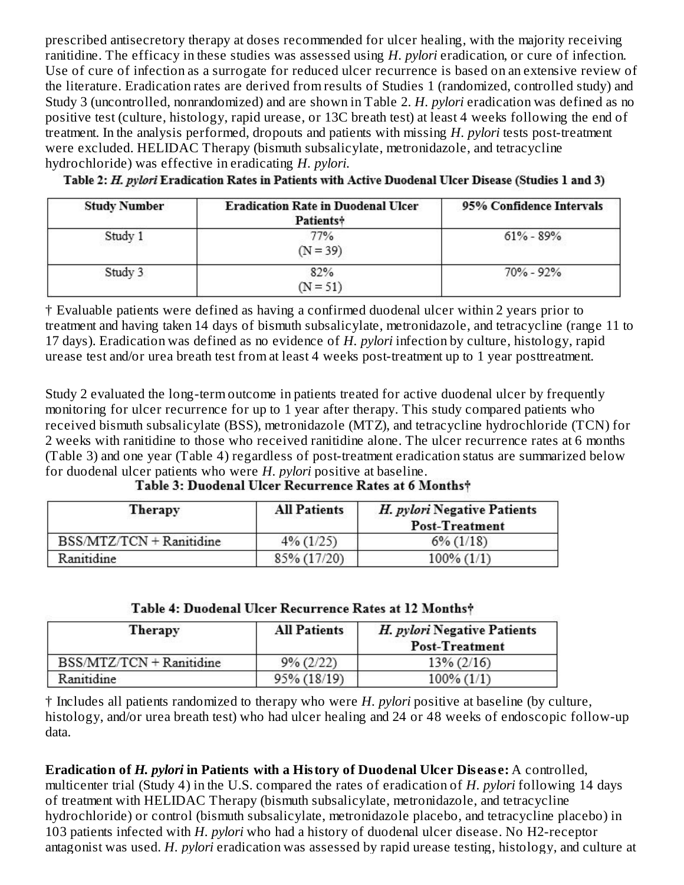prescribed antisecretory therapy at doses recommended for ulcer healing, with the majority receiving ranitidine. The efficacy in these studies was assessed using *H. pylori* eradication, or cure of infection. Use of cure of infection as a surrogate for reduced ulcer recurrence is based on an extensive review of the literature. Eradication rates are derived from results of Studies 1 (randomized, controlled study) and Study 3 (uncontrolled, nonrandomized) and are shown in Table 2. *H. pylori* eradication was defined as no positive test (culture, histology, rapid urease, or 13C breath test) at least 4 weeks following the end of treatment. In the analysis performed, dropouts and patients with missing *H. pylori* tests post-treatment were excluded. HELIDAC Therapy (bismuth subsalicylate, metronidazole, and tetracycline hydrochloride) was effective in eradicating *H. pylori*.

Table 2: H. pvlori Eradication Rates in Patients with Active Duodenal Ulcer Disease (Studies 1 and 3)

| <b>Study Number</b> | <b>Eradication Rate in Duodenal Ulcer</b><br>Patients <sup>+</sup> | 95% Confidence Intervals |  |
|---------------------|--------------------------------------------------------------------|--------------------------|--|
| Study 1             | 77%<br>$(N = 39)$                                                  | $61\% - 89\%$            |  |
| Study 3             | 82%<br>$(N = 51)$                                                  | $70\% - 92\%$            |  |

† Evaluable patients were defined as having a confirmed duodenal ulcer within 2 years prior to treatment and having taken 14 days of bismuth subsalicylate, metronidazole, and tetracycline (range 11 to 17 days). Eradication was defined as no evidence of *H. pylori* infection by culture, histology, rapid urease test and/or urea breath test from at least 4 weeks post-treatment up to 1 year posttreatment.

Study 2 evaluated the long-term outcome in patients treated for active duodenal ulcer by frequently monitoring for ulcer recurrence for up to 1 year after therapy. This study compared patients who received bismuth subsalicylate (BSS), metronidazole (MTZ), and tetracycline hydrochloride (TCN) for 2 weeks with ranitidine to those who received ranitidine alone. The ulcer recurrence rates at 6 months (Table 3) and one year (Table 4) regardless of post-treatment eradication status are summarized below for duodenal ulcer patients who were *H. pylori* positive at baseline.

| $\mathbf{1}$ . The contract of the contract of the contract of the contract of the contract of the contract of the contract of the contract of the contract of the contract of the contract of the contract of the contract of th |                                                       |
|-----------------------------------------------------------------------------------------------------------------------------------------------------------------------------------------------------------------------------------|-------------------------------------------------------|
|                                                                                                                                                                                                                                   | Table 3: Duodenal Ulcer Recurrence Rates at 6 Months† |

| Therapy                  | <b>All Patients</b> | H. pylori Negative Patients<br><b>Post-Treatment</b> |
|--------------------------|---------------------|------------------------------------------------------|
| BSS/MTZ/TCN + Ranitidine | $4\%$ (1/25)        | $6\%$ (1/18)                                         |
| Ranitidine               | 85% (17/20)         | $100\% (1/1)$                                        |

| Table 4: Duodenal Ulcer Recurrence Rates at 12 Months† |  |  |  |  |
|--------------------------------------------------------|--|--|--|--|
|                                                        |  |  |  |  |

| Therapy                  | <b>All Patients</b> | H. pylori Negative Patients<br><b>Post-Treatment</b> |
|--------------------------|---------------------|------------------------------------------------------|
| BSS/MTZ/TCN + Ranitidine | $9\% (2/22)$        | $13\% (2/16)$                                        |
| Ranitidine               | 95% (18/19)         | $100\% (1/1)$                                        |

† Includes all patients randomized to therapy who were *H. pylori* positive at baseline (by culture, histology, and/or urea breath test) who had ulcer healing and 24 or 48 weeks of endoscopic follow-up data.

**Eradication of** *H. pylori* **in Patients with a History of Duodenal Ulcer Dis eas e:** A controlled, multicenter trial (Study 4) in the U.S. compared the rates of eradication of *H. pylori* following 14 days of treatment with HELIDAC Therapy (bismuth subsalicylate, metronidazole, and tetracycline hydrochloride) or control (bismuth subsalicylate, metronidazole placebo, and tetracycline placebo) in 103 patients infected with *H. pylori* who had a history of duodenal ulcer disease. No H2-receptor antagonist was used. *H. pylori* eradication was assessed by rapid urease testing, histology, and culture at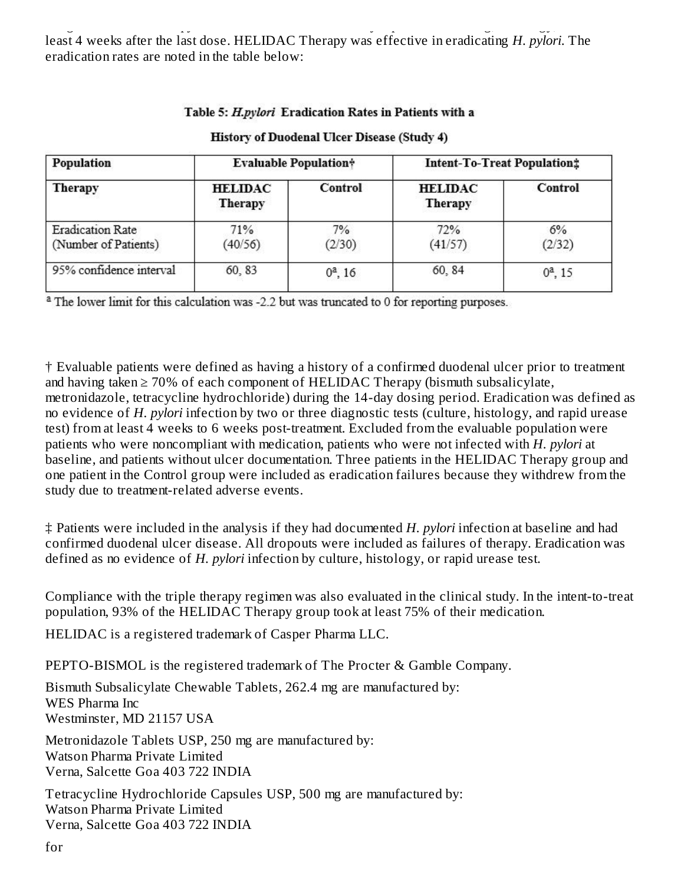antagonist was used. *H. pylori* eradication was assessed by rapid urease testing, histology, and culture at least 4 weeks after the last dose. HELIDAC Therapy was effective in eradicating *H. pylori*. The eradication rates are noted in the table below:

| Population                                      | <b>Evaluable Population</b> *    |              | <b>Intent-To-Treat Population</b> # |                         |  |
|-------------------------------------------------|----------------------------------|--------------|-------------------------------------|-------------------------|--|
| <b>Therapy</b>                                  | <b>HELIDAC</b><br><b>Therapy</b> | Control      | <b>HELIDAC</b><br><b>Therapy</b>    | Control<br>6%<br>(2/32) |  |
| <b>Eradication Rate</b><br>(Number of Patients) | 71%<br>(40/56)                   | 7%<br>(2/30) | 72%<br>(41/57)                      |                         |  |
| 95% confidence interval                         | 60, 83                           | $0^2$ , 16   | 60, 84                              | $0^a$ , 15              |  |

#### Table 5: H.pylori Eradication Rates in Patients with a

History of Duodenal Ulcer Disease (Study 4)

<sup>a</sup> The lower limit for this calculation was -2.2 but was truncated to 0 for reporting purposes.

† Evaluable patients were defined as having a history of a confirmed duodenal ulcer prior to treatment and having taken  $\geq 70\%$  of each component of HELIDAC Therapy (bismuth subsalicylate, metronidazole, tetracycline hydrochloride) during the 14-day dosing period. Eradication was defined as no evidence of *H. pylori* infection by two or three diagnostic tests (culture, histology, and rapid urease test) from at least 4 weeks to 6 weeks post-treatment. Excluded from the evaluable population were patients who were noncompliant with medication, patients who were not infected with *H. pylori* at baseline, and patients without ulcer documentation. Three patients in the HELIDAC Therapy group and one patient in the Control group were included as eradication failures because they withdrew from the study due to treatment-related adverse events.

‡ Patients were included in the analysis if they had documented *H. pylori* infection at baseline and had confirmed duodenal ulcer disease. All dropouts were included as failures of therapy. Eradication was defined as no evidence of *H. pylori* infection by culture, histology, or rapid urease test.

Compliance with the triple therapy regimen was also evaluated in the clinical study. In the intent-to-treat population, 93% of the HELIDAC Therapy group took at least 75% of their medication.

HELIDAC is a registered trademark of Casper Pharma LLC.

PEPTO-BISMOL is the registered trademark of The Procter & Gamble Company.

Bismuth Subsalicylate Chewable Tablets, 262.4 mg are manufactured by: WES Pharma Inc Westminster, MD 21157 USA

Metronidazole Tablets USP, 250 mg are manufactured by: Watson Pharma Private Limited Verna, Salcette Goa 403 722 INDIA

Tetracycline Hydrochloride Capsules USP, 500 mg are manufactured by: Watson Pharma Private Limited Verna, Salcette Goa 403 722 INDIA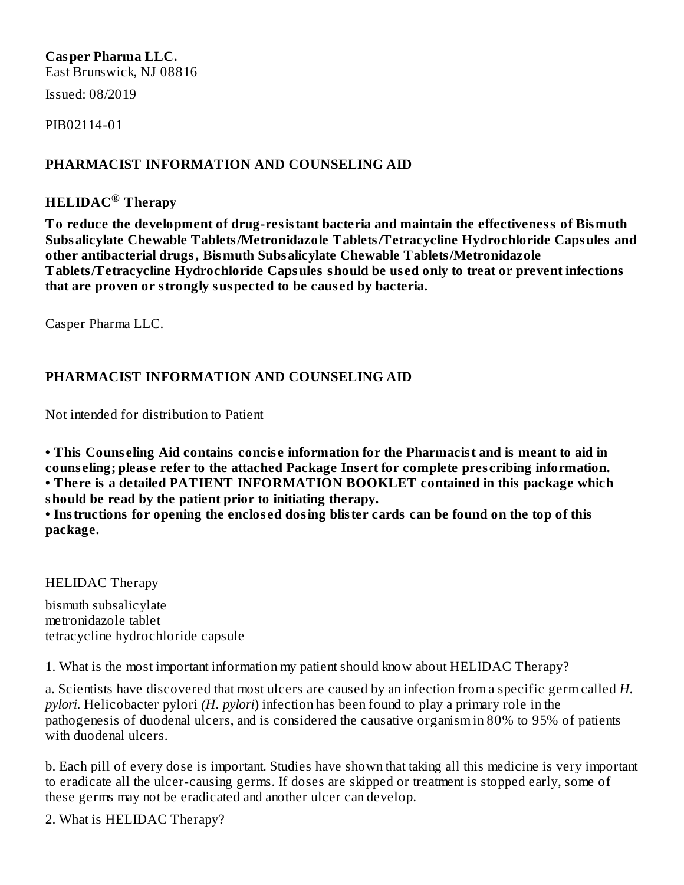## **Casper Pharma LLC.**

East Brunswick, NJ 08816

Issued: 08/2019

PIB02114-01

#### **PHARMACIST INFORMATION AND COUNSELING AID**

## **HELIDAC Therapy ®**

**To reduce the development of drug-resistant bacteria and maintain the effectiveness of Bismuth Subsalicylate Chewable Tablets/Metronidazole Tablets/Tetracycline Hydrochloride Capsules and other antibacterial drugs, Bismuth Subsalicylate Chewable Tablets/Metronidazole Tablets/Tetracycline Hydrochloride Capsules should be us ed only to treat or prevent infections that are proven or strongly suspected to be caus ed by bacteria.**

Casper Pharma LLC.

### **PHARMACIST INFORMATION AND COUNSELING AID**

Not intended for distribution to Patient

**• This Couns eling Aid contains concis e information for the Pharmacist and is meant to aid in couns eling; pleas e refer to the attached Package Ins ert for complete pres cribing information. • There is a detailed PATIENT INFORMATION BOOKLET contained in this package which should be read by the patient prior to initiating therapy.**

**• Instructions for opening the enclos ed dosing blister cards can be found on the top of this package.**

HELIDAC Therapy

bismuth subsalicylate metronidazole tablet tetracycline hydrochloride capsule

1. What is the most important information my patient should know about HELIDAC Therapy?

a. Scientists have discovered that most ulcers are caused by an infection from a specific germ called *H. pylori*. Helicobacter pylori *(H. pylori*) infection has been found to play a primary role in the pathogenesis of duodenal ulcers, and is considered the causative organism in 80% to 95% of patients with duodenal ulcers.

b. Each pill of every dose is important. Studies have shown that taking all this medicine is very important to eradicate all the ulcer-causing germs. If doses are skipped or treatment is stopped early, some of these germs may not be eradicated and another ulcer can develop.

2. What is HELIDAC Therapy?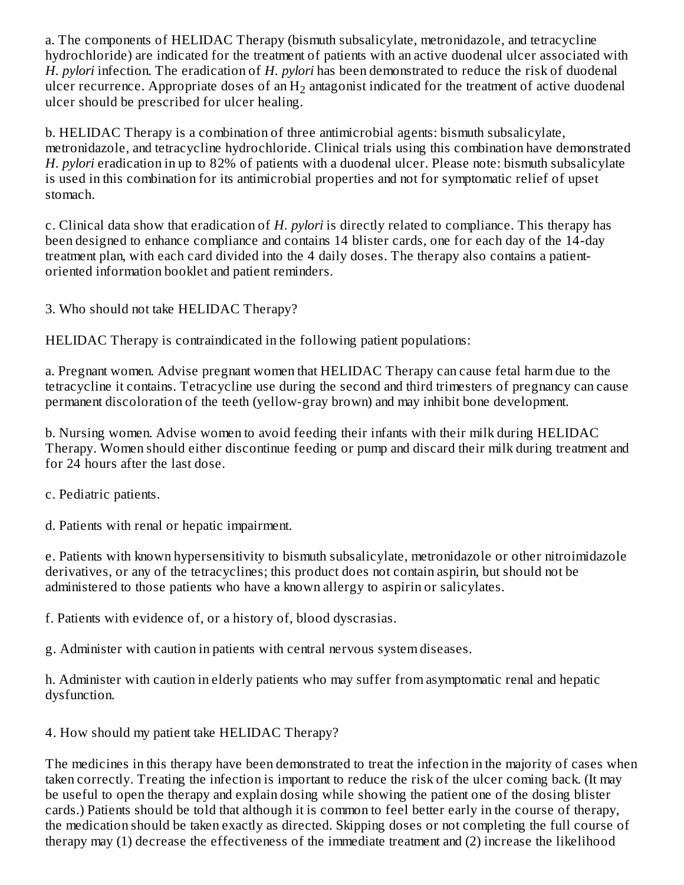a. The components of HELIDAC Therapy (bismuth subsalicylate, metronidazole, and tetracycline hydrochloride) are indicated for the treatment of patients with an active duodenal ulcer associated with *H. pylori* infection. The eradication of *H. pylori* has been demonstrated to reduce the risk of duodenal ulcer recurrence. Appropriate doses of an  $\rm H_{2}$  antagonist indicated for the treatment of active duodenal ulcer should be prescribed for ulcer healing.

b. HELIDAC Therapy is a combination of three antimicrobial agents: bismuth subsalicylate, metronidazole, and tetracycline hydrochloride. Clinical trials using this combination have demonstrated *H. pylori* eradication in up to 82% of patients with a duodenal ulcer. Please note: bismuth subsalicylate is used in this combination for its antimicrobial properties and not for symptomatic relief of upset stomach.

c. Clinical data show that eradication of *H. pylori* is directly related to compliance. This therapy has been designed to enhance compliance and contains 14 blister cards, one for each day of the 14-day treatment plan, with each card divided into the 4 daily doses. The therapy also contains a patientoriented information booklet and patient reminders.

3. Who should not take HELIDAC Therapy?

HELIDAC Therapy is contraindicated in the following patient populations:

a. Pregnant women. Advise pregnant women that HELIDAC Therapy can cause fetal harm due to the tetracycline it contains. Tetracycline use during the second and third trimesters of pregnancy can cause permanent discoloration of the teeth (yellow-gray brown) and may inhibit bone development.

b. Nursing women. Advise women to avoid feeding their infants with their milk during HELIDAC Therapy. Women should either discontinue feeding or pump and discard their milk during treatment and for 24 hours after the last dose.

c. Pediatric patients.

d. Patients with renal or hepatic impairment.

e. Patients with known hypersensitivity to bismuth subsalicylate, metronidazole or other nitroimidazole derivatives, or any of the tetracyclines; this product does not contain aspirin, but should not be administered to those patients who have a known allergy to aspirin or salicylates.

f. Patients with evidence of, or a history of, blood dyscrasias.

g. Administer with caution in patients with central nervous system diseases.

h. Administer with caution in elderly patients who may suffer from asymptomatic renal and hepatic dysfunction.

4. How should my patient take HELIDAC Therapy?

The medicines in this therapy have been demonstrated to treat the infection in the majority of cases when taken correctly. Treating the infection is important to reduce the risk of the ulcer coming back. (It may be useful to open the therapy and explain dosing while showing the patient one of the dosing blister cards.) Patients should be told that although it is common to feel better early in the course of therapy, the medication should be taken exactly as directed. Skipping doses or not completing the full course of therapy may (1) decrease the effectiveness of the immediate treatment and (2) increase the likelihood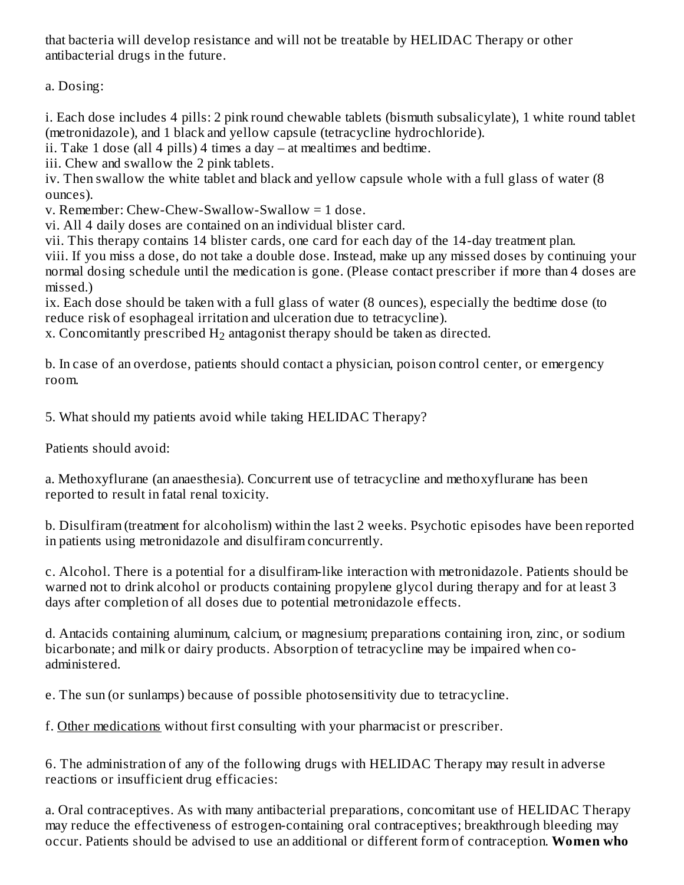that bacteria will develop resistance and will not be treatable by HELIDAC Therapy or other antibacterial drugs in the future.

a. Dosing:

i. Each dose includes 4 pills: 2 pink round chewable tablets (bismuth subsalicylate), 1 white round tablet (metronidazole), and 1 black and yellow capsule (tetracycline hydrochloride).

ii. Take 1 dose (all 4 pills) 4 times a day – at mealtimes and bedtime.

iii. Chew and swallow the 2 pink tablets.

iv. Then swallow the white tablet and black and yellow capsule whole with a full glass of water (8 ounces).

v. Remember: Chew-Chew-Swallow-Swallow = 1 dose.

vi. All 4 daily doses are contained on an individual blister card.

vii. This therapy contains 14 blister cards, one card for each day of the 14-day treatment plan.

viii. If you miss a dose, do not take a double dose. Instead, make up any missed doses by continuing your normal dosing schedule until the medication is gone. (Please contact prescriber if more than 4 doses are missed.)

ix. Each dose should be taken with a full glass of water (8 ounces), especially the bedtime dose (to reduce risk of esophageal irritation and ulceration due to tetracycline).

x. Concomitantly prescribed  $H_2$  antagonist therapy should be taken as directed.

b. In case of an overdose, patients should contact a physician, poison control center, or emergency room.

5. What should my patients avoid while taking HELIDAC Therapy?

Patients should avoid:

a. Methoxyflurane (an anaesthesia). Concurrent use of tetracycline and methoxyflurane has been reported to result in fatal renal toxicity.

b. Disulfiram (treatment for alcoholism) within the last 2 weeks. Psychotic episodes have been reported in patients using metronidazole and disulfiram concurrently.

c. Alcohol. There is a potential for a disulfiram-like interaction with metronidazole. Patients should be warned not to drink alcohol or products containing propylene glycol during therapy and for at least 3 days after completion of all doses due to potential metronidazole effects.

d. Antacids containing aluminum, calcium, or magnesium; preparations containing iron, zinc, or sodium bicarbonate; and milk or dairy products. Absorption of tetracycline may be impaired when coadministered.

e. The sun (or sunlamps) because of possible photosensitivity due to tetracycline.

f. Other medications without first consulting with your pharmacist or prescriber.

6. The administration of any of the following drugs with HELIDAC Therapy may result in adverse reactions or insufficient drug efficacies:

a. Oral contraceptives. As with many antibacterial preparations, concomitant use of HELIDAC Therapy may reduce the effectiveness of estrogen-containing oral contraceptives; breakthrough bleeding may occur. Patients should be advised to use an additional or different form of contraception. **Women who**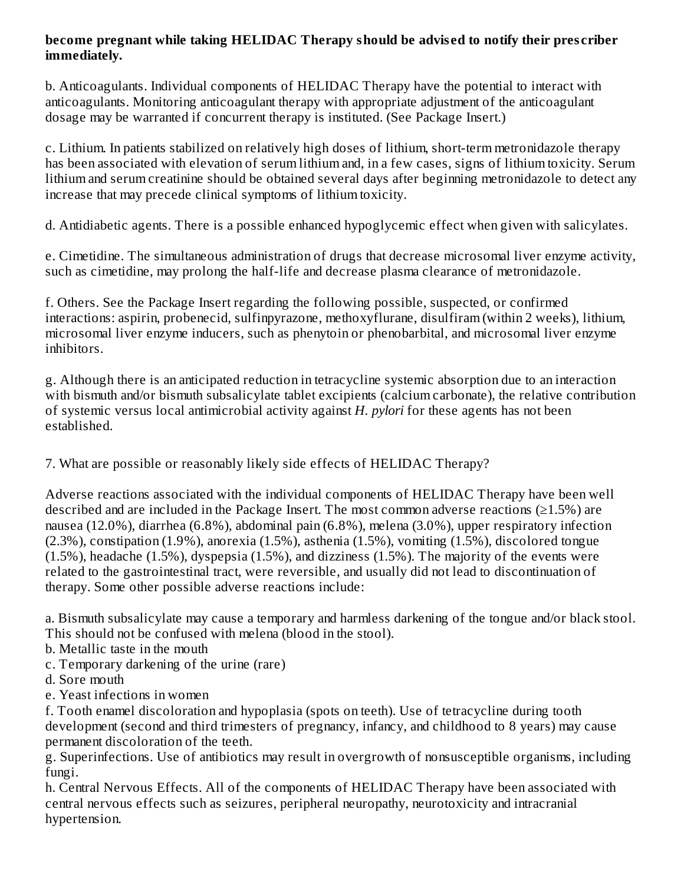#### **become pregnant while taking HELIDAC Therapy should be advis ed to notify their pres criber immediately.**

b. Anticoagulants. Individual components of HELIDAC Therapy have the potential to interact with anticoagulants. Monitoring anticoagulant therapy with appropriate adjustment of the anticoagulant dosage may be warranted if concurrent therapy is instituted. (See Package Insert.)

c. Lithium. In patients stabilized on relatively high doses of lithium, short-term metronidazole therapy has been associated with elevation of serum lithium and, in a few cases, signs of lithium toxicity. Serum lithium and serum creatinine should be obtained several days after beginning metronidazole to detect any increase that may precede clinical symptoms of lithium toxicity.

d. Antidiabetic agents. There is a possible enhanced hypoglycemic effect when given with salicylates.

e. Cimetidine. The simultaneous administration of drugs that decrease microsomal liver enzyme activity, such as cimetidine, may prolong the half-life and decrease plasma clearance of metronidazole.

f. Others. See the Package Insert regarding the following possible, suspected, or confirmed interactions: aspirin, probenecid, sulfinpyrazone, methoxyflurane, disulfiram (within 2 weeks), lithium, microsomal liver enzyme inducers, such as phenytoin or phenobarbital, and microsomal liver enzyme inhibitors.

g. Although there is an anticipated reduction in tetracycline systemic absorption due to an interaction with bismuth and/or bismuth subsalicylate tablet excipients (calcium carbonate), the relative contribution of systemic versus local antimicrobial activity against *H. pylori* for these agents has not been established.

7. What are possible or reasonably likely side effects of HELIDAC Therapy?

Adverse reactions associated with the individual components of HELIDAC Therapy have been well described and are included in the Package Insert. The most common adverse reactions  $(≥1.5%)$  are nausea (12.0%), diarrhea (6.8%), abdominal pain (6.8%), melena (3.0%), upper respiratory infection (2.3%), constipation (1.9%), anorexia (1.5%), asthenia (1.5%), vomiting (1.5%), discolored tongue (1.5%), headache (1.5%), dyspepsia (1.5%), and dizziness (1.5%). The majority of the events were related to the gastrointestinal tract, were reversible, and usually did not lead to discontinuation of therapy. Some other possible adverse reactions include:

a. Bismuth subsalicylate may cause a temporary and harmless darkening of the tongue and/or black stool. This should not be confused with melena (blood in the stool).

- b. Metallic taste in the mouth
- c. Temporary darkening of the urine (rare)
- d. Sore mouth
- e. Yeast infections in women

f. Tooth enamel discoloration and hypoplasia (spots on teeth). Use of tetracycline during tooth development (second and third trimesters of pregnancy, infancy, and childhood to 8 years) may cause permanent discoloration of the teeth.

g. Superinfections. Use of antibiotics may result in overgrowth of nonsusceptible organisms, including fungi.

h. Central Nervous Effects. All of the components of HELIDAC Therapy have been associated with central nervous effects such as seizures, peripheral neuropathy, neurotoxicity and intracranial hypertension.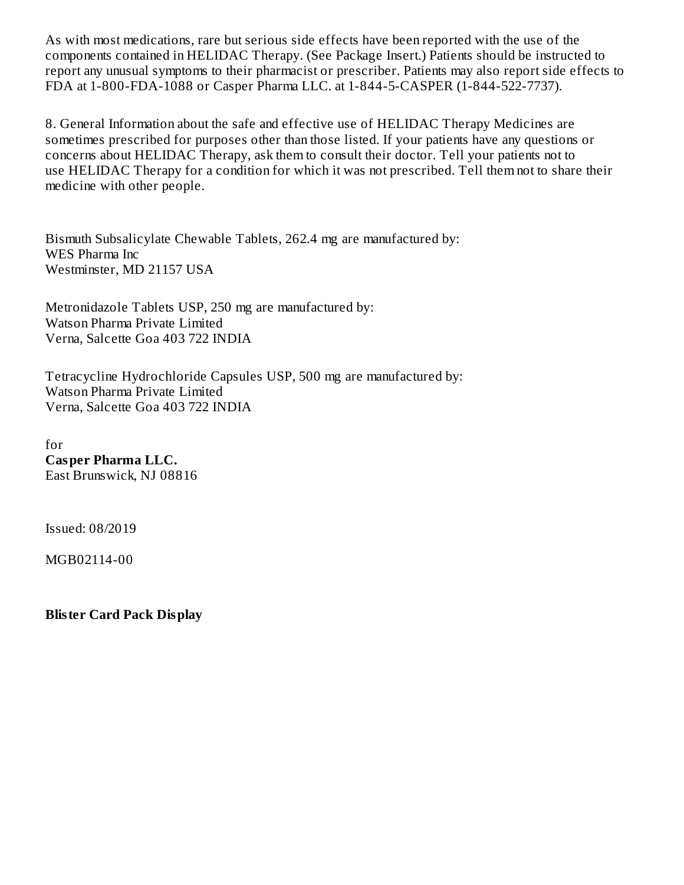As with most medications, rare but serious side effects have been reported with the use of the components contained in HELIDAC Therapy. (See Package Insert.) Patients should be instructed to report any unusual symptoms to their pharmacist or prescriber. Patients may also report side effects to FDA at 1-800-FDA-1088 or Casper Pharma LLC. at 1-844-5-CASPER (1-844-522-7737).

8. General Information about the safe and effective use of HELIDAC Therapy Medicines are sometimes prescribed for purposes other than those listed. If your patients have any questions or concerns about HELIDAC Therapy, ask them to consult their doctor. Tell your patients not to use HELIDAC Therapy for a condition for which it was not prescribed. Tell them not to share their medicine with other people.

Bismuth Subsalicylate Chewable Tablets, 262.4 mg are manufactured by: WES Pharma Inc Westminster, MD 21157 USA

Metronidazole Tablets USP, 250 mg are manufactured by: Watson Pharma Private Limited Verna, Salcette Goa 403 722 INDIA

Tetracycline Hydrochloride Capsules USP, 500 mg are manufactured by: Watson Pharma Private Limited Verna, Salcette Goa 403 722 INDIA

for **Casper Pharma LLC.** East Brunswick, NJ 08816

Issued: 08/2019

MGB02114-00

**Blister Card Pack Display**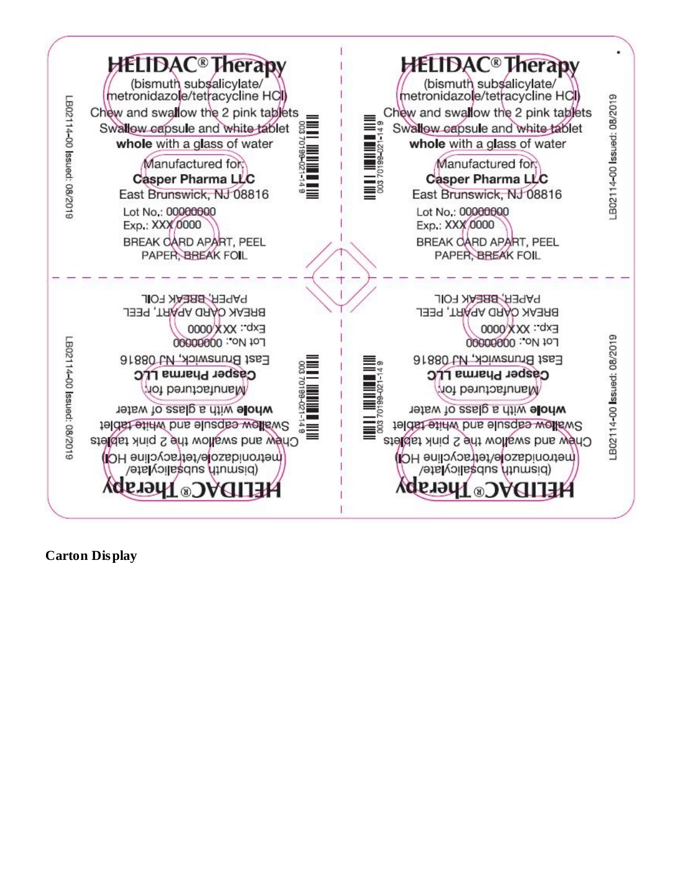

**Carton Display**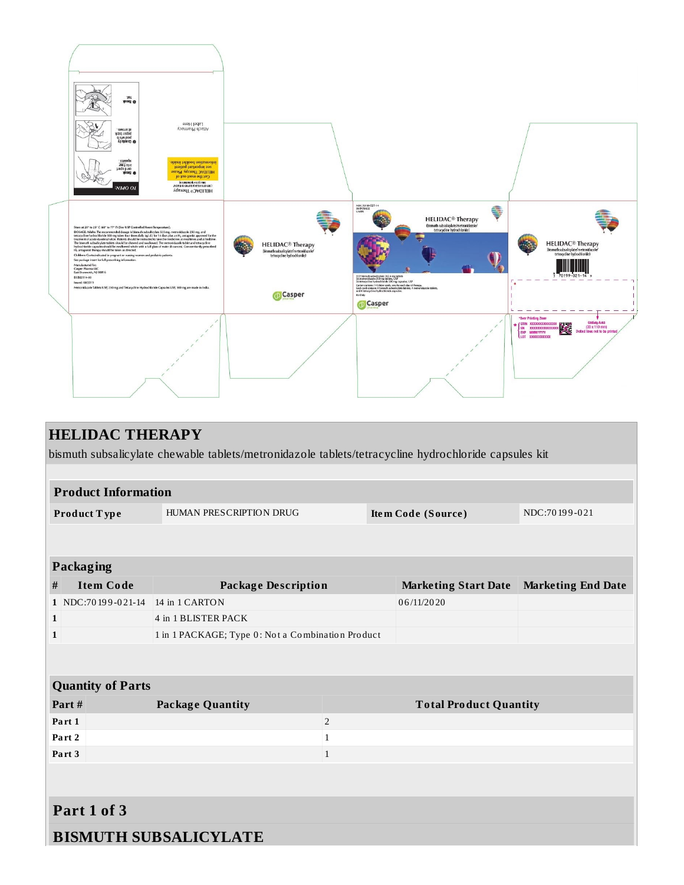

| <b>HELIDAC THERAPY</b>     |                                                                                                      |                |                               |                           |  |  |  |  |  |  |
|----------------------------|------------------------------------------------------------------------------------------------------|----------------|-------------------------------|---------------------------|--|--|--|--|--|--|
|                            | bismuth subsalicylate chewable tablets/metronidazole tablets/tetracycline hydrochloride capsules kit |                |                               |                           |  |  |  |  |  |  |
|                            |                                                                                                      |                |                               |                           |  |  |  |  |  |  |
| <b>Product Information</b> |                                                                                                      |                |                               |                           |  |  |  |  |  |  |
| Product Type               | HUMAN PRESCRIPTION DRUG                                                                              |                | Item Code (Source)            | NDC:70199-021             |  |  |  |  |  |  |
|                            |                                                                                                      |                |                               |                           |  |  |  |  |  |  |
| <b>Packaging</b>           |                                                                                                      |                |                               |                           |  |  |  |  |  |  |
| <b>Item Code</b><br>$\#$   | <b>Package Description</b>                                                                           |                | <b>Marketing Start Date</b>   | <b>Marketing End Date</b> |  |  |  |  |  |  |
| 1 NDC:70199-021-14         | 14 in 1 CARTON                                                                                       |                | 06/11/2020                    |                           |  |  |  |  |  |  |
| $\mathbf{1}$               | 4 in 1 BLISTER PACK                                                                                  |                |                               |                           |  |  |  |  |  |  |
| $\mathbf{1}$               | 1 in 1 PACKAGE; Type 0: Not a Combination Product                                                    |                |                               |                           |  |  |  |  |  |  |
|                            |                                                                                                      |                |                               |                           |  |  |  |  |  |  |
| <b>Quantity of Parts</b>   |                                                                                                      |                |                               |                           |  |  |  |  |  |  |
| Part#                      | <b>Package Quantity</b>                                                                              |                | <b>Total Product Quantity</b> |                           |  |  |  |  |  |  |
| Part 1                     |                                                                                                      | $\overline{2}$ |                               |                           |  |  |  |  |  |  |
| Part <sub>2</sub>          |                                                                                                      | $\mathbf{1}$   |                               |                           |  |  |  |  |  |  |
| Part 3                     |                                                                                                      | $\mathbf{1}$   |                               |                           |  |  |  |  |  |  |
|                            |                                                                                                      |                |                               |                           |  |  |  |  |  |  |
| Part 1 of 3                |                                                                                                      |                |                               |                           |  |  |  |  |  |  |
|                            | <b>BISMUTH SUBSALICYLATE</b>                                                                         |                |                               |                           |  |  |  |  |  |  |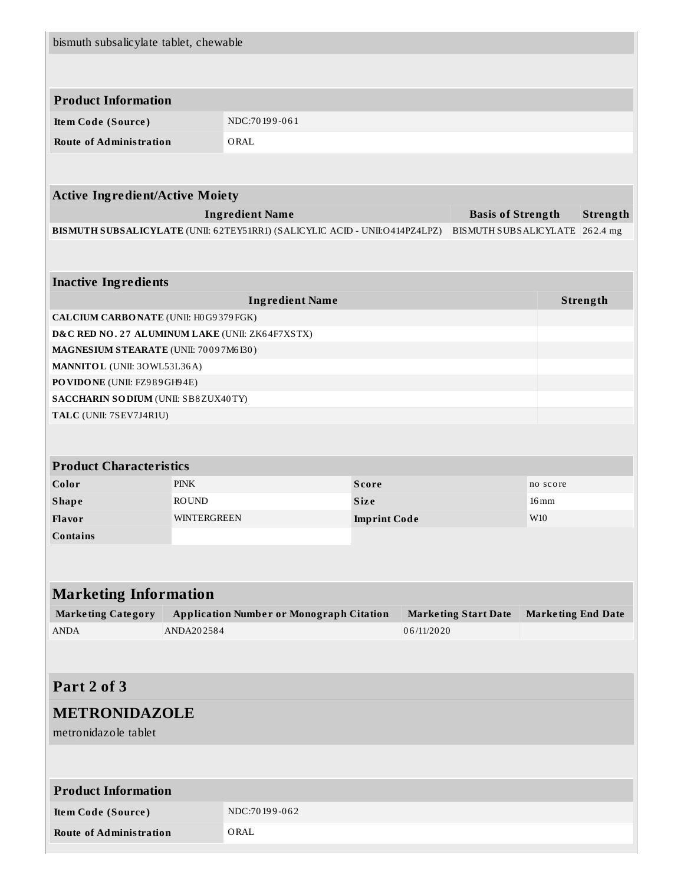| bismuth subsalicylate tablet, chewable          |              |                                                                             |                     |            |                                |                           |          |
|-------------------------------------------------|--------------|-----------------------------------------------------------------------------|---------------------|------------|--------------------------------|---------------------------|----------|
|                                                 |              |                                                                             |                     |            |                                |                           |          |
| <b>Product Information</b>                      |              |                                                                             |                     |            |                                |                           |          |
| Item Code (Source)                              |              | NDC:70199-061                                                               |                     |            |                                |                           |          |
| <b>Route of Administration</b>                  |              | ORAL                                                                        |                     |            |                                |                           |          |
|                                                 |              |                                                                             |                     |            |                                |                           |          |
| <b>Active Ingredient/Active Moiety</b>          |              |                                                                             |                     |            |                                |                           |          |
|                                                 |              | <b>Ingredient Name</b>                                                      |                     |            | <b>Basis of Strength</b>       |                           | Strength |
|                                                 |              | BISMUTH SUBSALICYLATE (UNII: 62TEY51RR1) (SALICYLIC ACID - UNII:O414PZ4LPZ) |                     |            | BISMUTH SUBSALICYLATE 262.4 mg |                           |          |
|                                                 |              |                                                                             |                     |            |                                |                           |          |
| <b>Inactive Ingredients</b>                     |              |                                                                             |                     |            |                                |                           |          |
|                                                 |              | <b>Ingredient Name</b>                                                      |                     |            |                                |                           | Strength |
| CALCIUM CARBONATE (UNII: H0G9379FGK)            |              |                                                                             |                     |            |                                |                           |          |
| D&C RED NO. 27 ALUMINUM LAKE (UNII: ZK64F7XSTX) |              |                                                                             |                     |            |                                |                           |          |
| MAGNESIUM STEARATE (UNII: 70097M6I30)           |              |                                                                             |                     |            |                                |                           |          |
| MANNITOL (UNII: 30WL53L36A)                     |              |                                                                             |                     |            |                                |                           |          |
| PO VIDO NE (UNII: FZ989GH94E)                   |              |                                                                             |                     |            |                                |                           |          |
| SACCHARIN SODIUM (UNII: SB8ZUX40TY)             |              |                                                                             |                     |            |                                |                           |          |
| TALC (UNII: 7SEV7J4R1U)                         |              |                                                                             |                     |            |                                |                           |          |
|                                                 |              |                                                                             |                     |            |                                |                           |          |
| <b>Product Characteristics</b>                  |              |                                                                             |                     |            |                                |                           |          |
| Color                                           | <b>PINK</b>  |                                                                             | <b>Score</b>        |            |                                | no score                  |          |
| <b>Shape</b>                                    | <b>ROUND</b> |                                                                             | <b>Size</b>         |            |                                | $16 \,\mathrm{mm}$        |          |
| Flavor                                          | WINTERGREEN  |                                                                             | <b>Imprint Code</b> |            |                                | W <sub>10</sub>           |          |
| <b>Contains</b>                                 |              |                                                                             |                     |            |                                |                           |          |
|                                                 |              |                                                                             |                     |            |                                |                           |          |
| <b>Marketing Information</b>                    |              |                                                                             |                     |            |                                |                           |          |
| <b>Marketing Category</b>                       |              | <b>Application Number or Monograph Citation</b>                             |                     |            | <b>Marketing Start Date</b>    | <b>Marketing End Date</b> |          |
| <b>ANDA</b>                                     | ANDA202584   |                                                                             |                     | 06/11/2020 |                                |                           |          |
|                                                 |              |                                                                             |                     |            |                                |                           |          |
|                                                 |              |                                                                             |                     |            |                                |                           |          |
| Part 2 of 3                                     |              |                                                                             |                     |            |                                |                           |          |
| <b>METRONIDAZOLE</b>                            |              |                                                                             |                     |            |                                |                           |          |
| metronidazole tablet                            |              |                                                                             |                     |            |                                |                           |          |
|                                                 |              |                                                                             |                     |            |                                |                           |          |
| <b>Product Information</b>                      |              |                                                                             |                     |            |                                |                           |          |
| <b>Item Code (Source)</b>                       |              | NDC:70199-062                                                               |                     |            |                                |                           |          |
| <b>Route of Administration</b>                  |              | ORAL                                                                        |                     |            |                                |                           |          |
|                                                 |              |                                                                             |                     |            |                                |                           |          |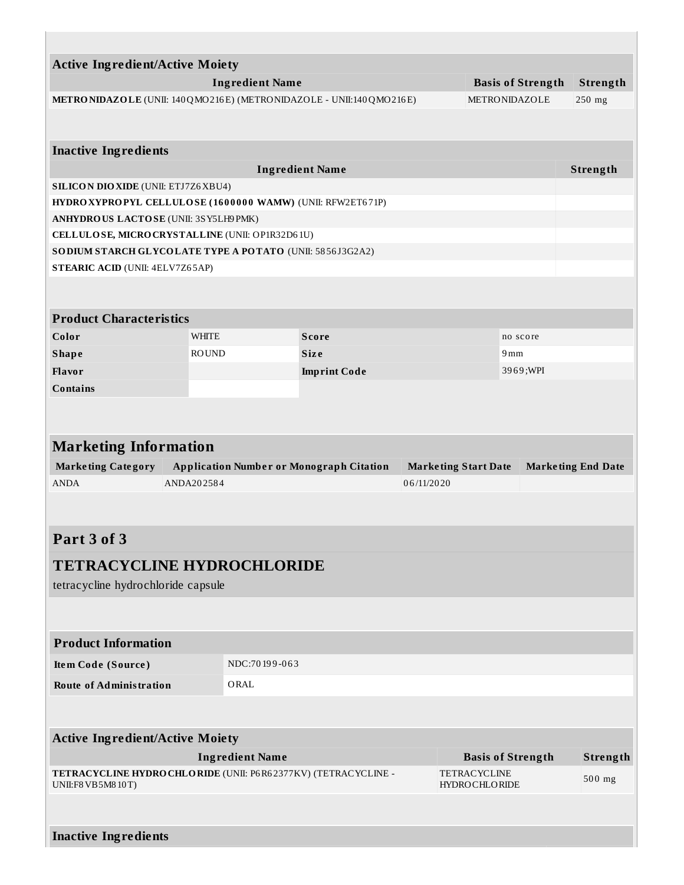| <b>Active Ingredient/Active Moiety</b>                               |              |                        |                                                 |            |                             |                          |                           |
|----------------------------------------------------------------------|--------------|------------------------|-------------------------------------------------|------------|-----------------------------|--------------------------|---------------------------|
|                                                                      |              | <b>Ingredient Name</b> |                                                 |            |                             | <b>Basis of Strength</b> | Strength                  |
| METRONIDAZOLE (UNII: 140 QMO216E) (METRONIDAZOLE - UNII:140 QMO216E) |              |                        |                                                 |            |                             | <b>METRONIDAZOLE</b>     | $250$ mg                  |
|                                                                      |              |                        |                                                 |            |                             |                          |                           |
| <b>Inactive Ingredients</b>                                          |              |                        |                                                 |            |                             |                          |                           |
|                                                                      |              |                        | <b>Ingredient Name</b>                          |            |                             |                          | Strength                  |
| <b>SILICON DIO XIDE (UNII: ETJ7Z6 XBU4)</b>                          |              |                        |                                                 |            |                             |                          |                           |
| HYDRO XYPROPYL CELLULOSE (1600000 WAMW) (UNII: RFW2ET671P)           |              |                        |                                                 |            |                             |                          |                           |
| ANHYDROUS LACTOSE (UNII: 3SY5LH9PMK)                                 |              |                        |                                                 |            |                             |                          |                           |
| CELLULOSE, MICRO CRYSTALLINE (UNII: OP1R32D61U)                      |              |                        |                                                 |            |                             |                          |                           |
| SODIUM STARCH GLYCOLATE TYPE A POTATO (UNII: 5856J3G2A2)             |              |                        |                                                 |            |                             |                          |                           |
| <b>STEARIC ACID (UNII: 4ELV7Z65AP)</b>                               |              |                        |                                                 |            |                             |                          |                           |
|                                                                      |              |                        |                                                 |            |                             |                          |                           |
| <b>Product Characteristics</b>                                       |              |                        |                                                 |            |                             |                          |                           |
| Color                                                                | <b>WHITE</b> |                        | <b>Score</b>                                    |            |                             | no score                 |                           |
| <b>Shape</b>                                                         | <b>ROUND</b> |                        | <b>Size</b>                                     |            |                             | 9mm                      |                           |
| Flavor                                                               |              |                        | <b>Imprint Code</b>                             |            |                             | 3969;WPI                 |                           |
| <b>Contains</b>                                                      |              |                        |                                                 |            |                             |                          |                           |
|                                                                      |              |                        |                                                 |            |                             |                          |                           |
| <b>Marketing Information</b>                                         |              |                        |                                                 |            |                             |                          |                           |
| <b>Marketing Category</b>                                            |              |                        | <b>Application Number or Monograph Citation</b> |            | <b>Marketing Start Date</b> |                          | <b>Marketing End Date</b> |
| <b>ANDA</b>                                                          | ANDA202584   |                        |                                                 | 06/11/2020 |                             |                          |                           |
|                                                                      |              |                        |                                                 |            |                             |                          |                           |
| Part 3 of 3                                                          |              |                        |                                                 |            |                             |                          |                           |
| <b>TETRACYCLINE HYDROCHLORIDE</b>                                    |              |                        |                                                 |            |                             |                          |                           |
| tetracycline hydrochloride capsule                                   |              |                        |                                                 |            |                             |                          |                           |
|                                                                      |              |                        |                                                 |            |                             |                          |                           |
|                                                                      |              |                        |                                                 |            |                             |                          |                           |
| <b>Product Information</b>                                           |              |                        |                                                 |            |                             |                          |                           |
| Item Code (Source)                                                   |              | NDC:70199-063          |                                                 |            |                             |                          |                           |
| <b>Route of Administration</b>                                       |              | ORAL                   |                                                 |            |                             |                          |                           |
|                                                                      |              |                        |                                                 |            |                             |                          |                           |
| <b>Active Ingredient/Active Moiety</b>                               |              |                        |                                                 |            |                             |                          |                           |
|                                                                      |              | <b>Ingredient Name</b> |                                                 |            |                             | <b>Basis of Strength</b> | Strength                  |
| TETRACYCLINE HYDRO CHLORIDE (UNII: P6R62377KV) (TETRACYCLINE -       |              |                        |                                                 |            | <b>TETRACYCLINE</b>         |                          | 500 mg                    |
| UNII:F8 VB5M8 10T)                                                   |              |                        |                                                 |            | <b>HYDROCHLORIDE</b>        |                          |                           |
|                                                                      |              |                        |                                                 |            |                             |                          |                           |
| <b>Inactive Ingredients</b>                                          |              |                        |                                                 |            |                             |                          |                           |